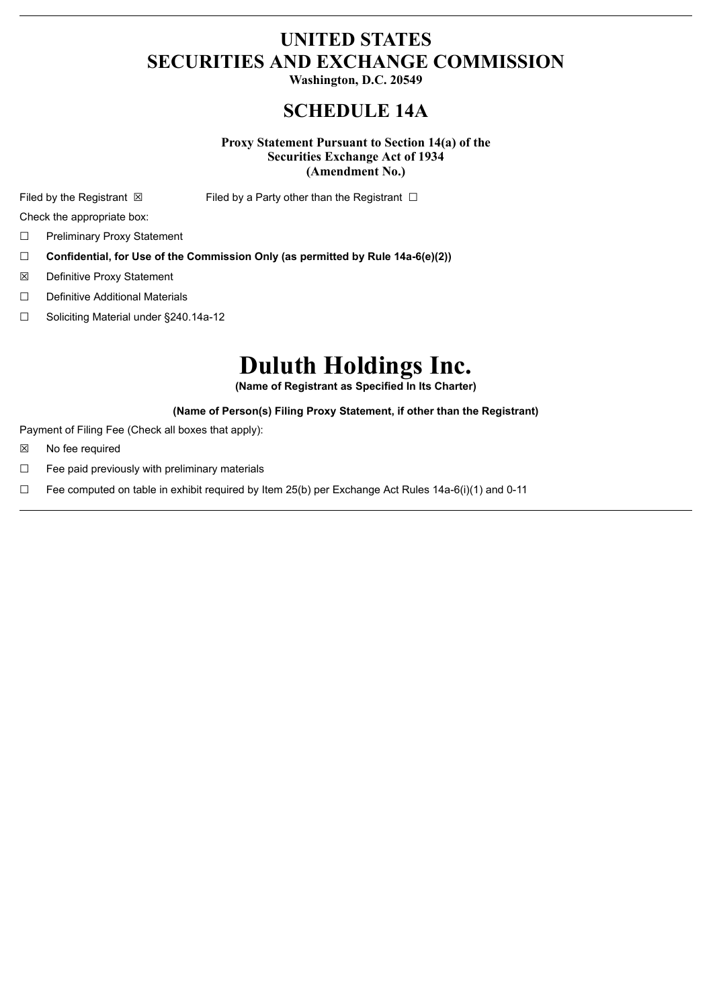# **UNITED STATES SECURITIES AND EXCHANGE COMMISSION**

**Washington, D.C. 20549**

## **SCHEDULE 14A**

#### **Proxy Statement Pursuant to Section 14(a) of the Securities Exchange Act of 1934 (Amendment No.)**

Filed by the Registrant  $\boxtimes$  Filed by a Party other than the Registrant  $\Box$ 

Check the appropriate box:

- ☐ Preliminary Proxy Statement
- ☐ **Confidential, for Use of the Commission Only (as permitted by Rule 14a-6(e)(2))**
- ☒ Definitive Proxy Statement
- ☐ Definitive Additional Materials
- ☐ Soliciting Material under §240.14a-12

# **Duluth Holdings Inc.**

**(Name of Registrant as Specified In Its Charter)**

#### **(Name of Person(s) Filing Proxy Statement, if other than the Registrant)**

Payment of Filing Fee (Check all boxes that apply):

- ☒ No fee required
- ☐ Fee paid previously with preliminary materials
- □ Fee computed on table in exhibit required by Item 25(b) per Exchange Act Rules  $14a-6(i)(1)$  and 0-11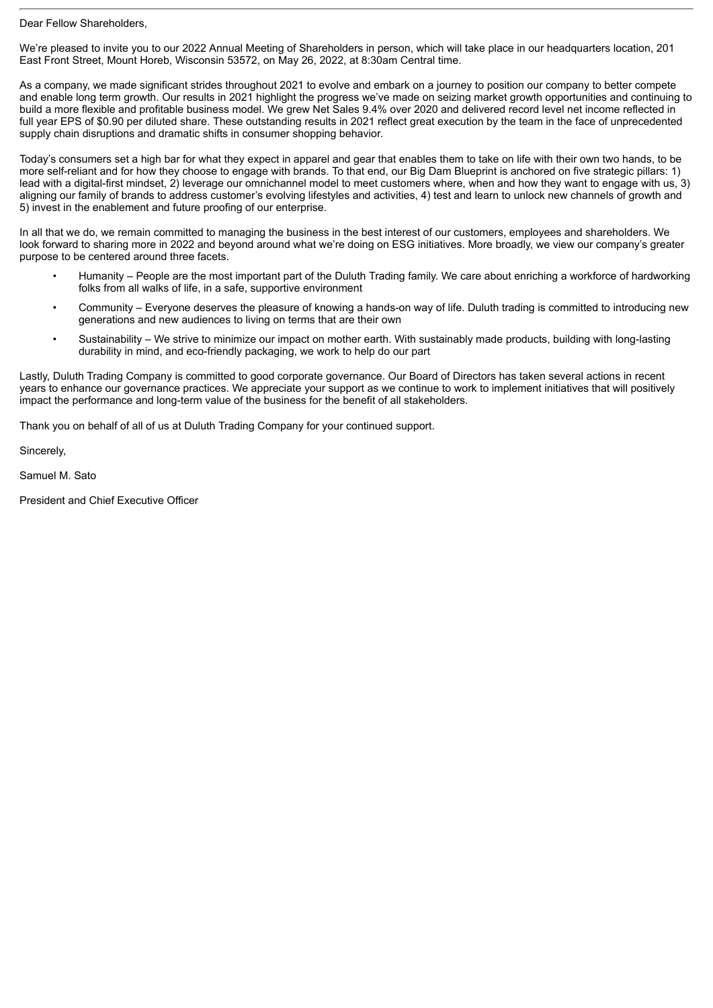#### Dear Fellow Shareholders,

We're pleased to invite you to our 2022 Annual Meeting of Shareholders in person, which will take place in our headquarters location, 201 East Front Street, Mount Horeb, Wisconsin 53572, on May 26, 2022, at 8:30am Central time.

As a company, we made significant strides throughout 2021 to evolve and embark on a journey to position our company to better compete and enable long term growth. Our results in 2021 highlight the progress we've made on seizing market growth opportunities and continuing to build a more flexible and profitable business model. We grew Net Sales 9.4% over 2020 and delivered record level net income reflected in full year EPS of \$0.90 per diluted share. These outstanding results in 2021 reflect great execution by the team in the face of unprecedented supply chain disruptions and dramatic shifts in consumer shopping behavior.

Today's consumers set a high bar for what they expect in apparel and gear that enables them to take on life with their own two hands, to be more self-reliant and for how they choose to engage with brands. To that end, our Big Dam Blueprint is anchored on five strategic pillars: 1) lead with a digital-first mindset, 2) leverage our omnichannel model to meet customers where, when and how they want to engage with us, 3) aligning our family of brands to address customer's evolving lifestyles and activities, 4) test and learn to unlock new channels of growth and 5) invest in the enablement and future proofing of our enterprise.

In all that we do, we remain committed to managing the business in the best interest of our customers, employees and shareholders. We look forward to sharing more in 2022 and beyond around what we're doing on ESG initiatives. More broadly, we view our company's greater purpose to be centered around three facets.

- Humanity People are the most important part of the Duluth Trading family. We care about enriching a workforce of hardworking folks from all walks of life, in a safe, supportive environment
- Community Everyone deserves the pleasure of knowing a hands-on way of life. Duluth trading is committed to introducing new generations and new audiences to living on terms that are their own
- Sustainability We strive to minimize our impact on mother earth. With sustainably made products, building with long-lasting durability in mind, and eco-friendly packaging, we work to help do our part

Lastly, Duluth Trading Company is committed to good corporate governance. Our Board of Directors has taken several actions in recent years to enhance our governance practices. We appreciate your support as we continue to work to implement initiatives that will positively impact the performance and long-term value of the business for the benefit of all stakeholders.

Thank you on behalf of all of us at Duluth Trading Company for your continued support.

Sincerely,

Samuel M. Sato

President and Chief Executive Officer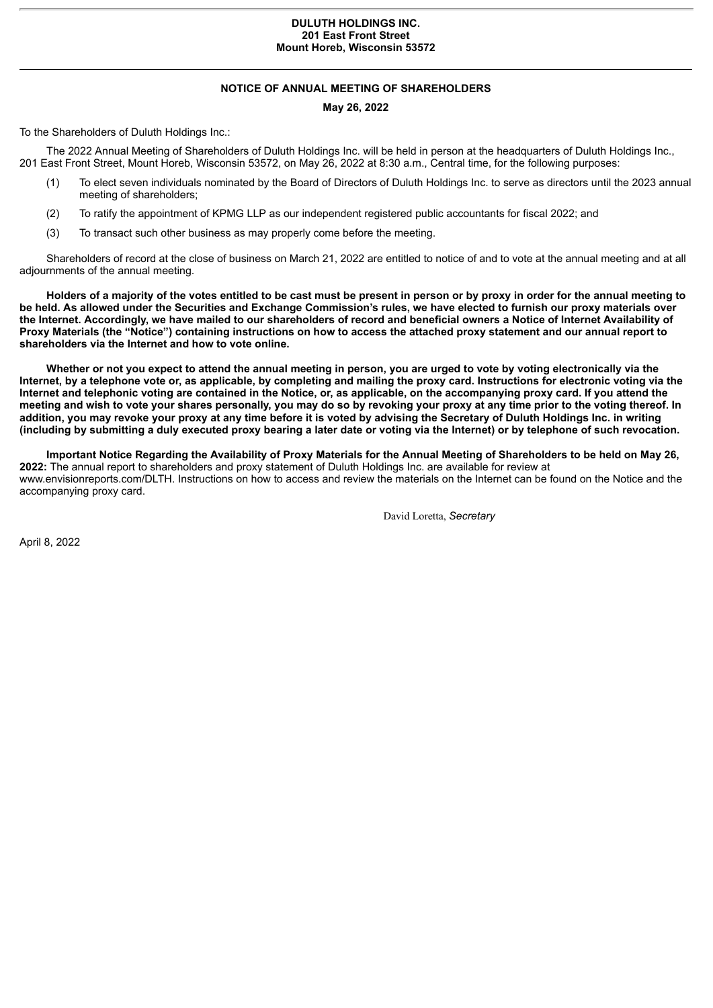#### **DULUTH HOLDINGS INC. 201 East Front Street Mount Horeb, Wisconsin 53572**

#### **NOTICE OF ANNUAL MEETING OF SHAREHOLDERS**

#### **May 26, 2022**

To the Shareholders of Duluth Holdings Inc.:

The 2022 Annual Meeting of Shareholders of Duluth Holdings Inc. will be held in person at the headquarters of Duluth Holdings Inc., 201 East Front Street, Mount Horeb, Wisconsin 53572, on May 26, 2022 at 8:30 a.m., Central time, for the following purposes:

- (1) To elect seven individuals nominated by the Board of Directors of Duluth Holdings Inc. to serve as directors until the 2023 annual meeting of shareholders;
- (2) To ratify the appointment of KPMG LLP as our independent registered public accountants for fiscal 2022; and
- (3) To transact such other business as may properly come before the meeting.

Shareholders of record at the close of business on March 21, 2022 are entitled to notice of and to vote at the annual meeting and at all adjournments of the annual meeting.

Holders of a majority of the votes entitled to be cast must be present in person or by proxy in order for the annual meeting to be held. As allowed under the Securities and Exchange Commission's rules, we have elected to furnish our proxy materials over the Internet. Accordingly, we have mailed to our shareholders of record and beneficial owners a Notice of Internet Availability of Proxy Materials (the "Notice") containing instructions on how to access the attached proxy statement and our annual report to **shareholders via the Internet and how to vote online.**

Whether or not you expect to attend the annual meeting in person, you are urged to vote by voting electronically via the Internet, by a telephone vote or, as applicable, by completing and mailing the proxy card. Instructions for electronic voting via the Internet and telephonic voting are contained in the Notice, or, as applicable, on the accompanying proxy card. If you attend the meeting and wish to vote your shares personally, you may do so by revoking your proxy at any time prior to the voting thereof. In addition, you may revoke your proxy at any time before it is voted by advising the Secretary of Duluth Holdings Inc. in writing (including by submitting a duly executed proxy bearing a later date or voting via the Internet) or by telephone of such revocation.

Important Notice Regarding the Availability of Proxy Materials for the Annual Meeting of Shareholders to be held on May 26, **2022:** The annual report to shareholders and proxy statement of Duluth Holdings Inc. are available for review at www.envisionreports.com/DLTH. Instructions on how to access and review the materials on the Internet can be found on the Notice and the accompanying proxy card.

David Loretta, *Secretary*

April 8, 2022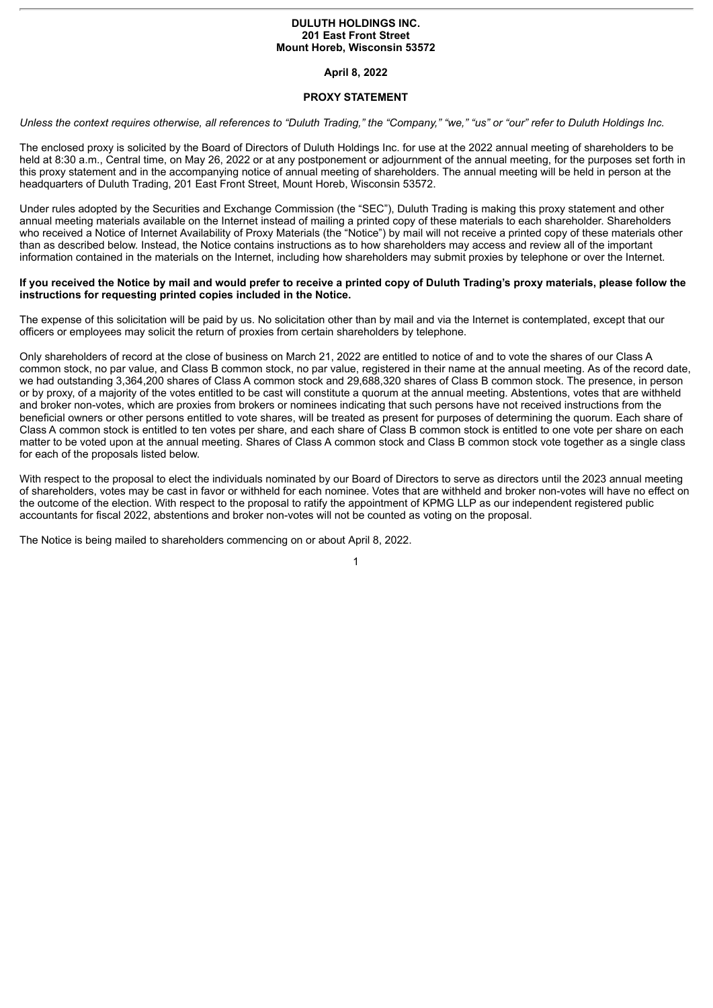#### **DULUTH HOLDINGS INC. 201 East Front Street Mount Horeb, Wisconsin 53572**

#### **April 8, 2022**

#### **PROXY STATEMENT**

Unless the context requires otherwise, all references to "Duluth Trading," the "Company," "we," "us" or "our" refer to Duluth Holdings Inc.

The enclosed proxy is solicited by the Board of Directors of Duluth Holdings Inc. for use at the 2022 annual meeting of shareholders to be held at 8:30 a.m., Central time, on May 26, 2022 or at any postponement or adjournment of the annual meeting, for the purposes set forth in this proxy statement and in the accompanying notice of annual meeting of shareholders. The annual meeting will be held in person at the headquarters of Duluth Trading, 201 East Front Street, Mount Horeb, Wisconsin 53572.

Under rules adopted by the Securities and Exchange Commission (the "SEC"), Duluth Trading is making this proxy statement and other annual meeting materials available on the Internet instead of mailing a printed copy of these materials to each shareholder. Shareholders who received a Notice of Internet Availability of Proxy Materials (the "Notice") by mail will not receive a printed copy of these materials other than as described below. Instead, the Notice contains instructions as to how shareholders may access and review all of the important information contained in the materials on the Internet, including how shareholders may submit proxies by telephone or over the Internet.

#### If you received the Notice by mail and would prefer to receive a printed copy of Duluth Trading's proxy materials, please follow the **instructions for requesting printed copies included in the Notice.**

The expense of this solicitation will be paid by us. No solicitation other than by mail and via the Internet is contemplated, except that our officers or employees may solicit the return of proxies from certain shareholders by telephone.

Only shareholders of record at the close of business on March 21, 2022 are entitled to notice of and to vote the shares of our Class A common stock, no par value, and Class B common stock, no par value, registered in their name at the annual meeting. As of the record date, we had outstanding 3,364,200 shares of Class A common stock and 29,688,320 shares of Class B common stock. The presence, in person or by proxy, of a majority of the votes entitled to be cast will constitute a quorum at the annual meeting. Abstentions, votes that are withheld and broker non-votes, which are proxies from brokers or nominees indicating that such persons have not received instructions from the beneficial owners or other persons entitled to vote shares, will be treated as present for purposes of determining the quorum. Each share of Class A common stock is entitled to ten votes per share, and each share of Class B common stock is entitled to one vote per share on each matter to be voted upon at the annual meeting. Shares of Class A common stock and Class B common stock vote together as a single class for each of the proposals listed below.

With respect to the proposal to elect the individuals nominated by our Board of Directors to serve as directors until the 2023 annual meeting of shareholders, votes may be cast in favor or withheld for each nominee. Votes that are withheld and broker non-votes will have no effect on the outcome of the election. With respect to the proposal to ratify the appointment of KPMG LLP as our independent registered public accountants for fiscal 2022, abstentions and broker non-votes will not be counted as voting on the proposal.

1

The Notice is being mailed to shareholders commencing on or about April 8, 2022.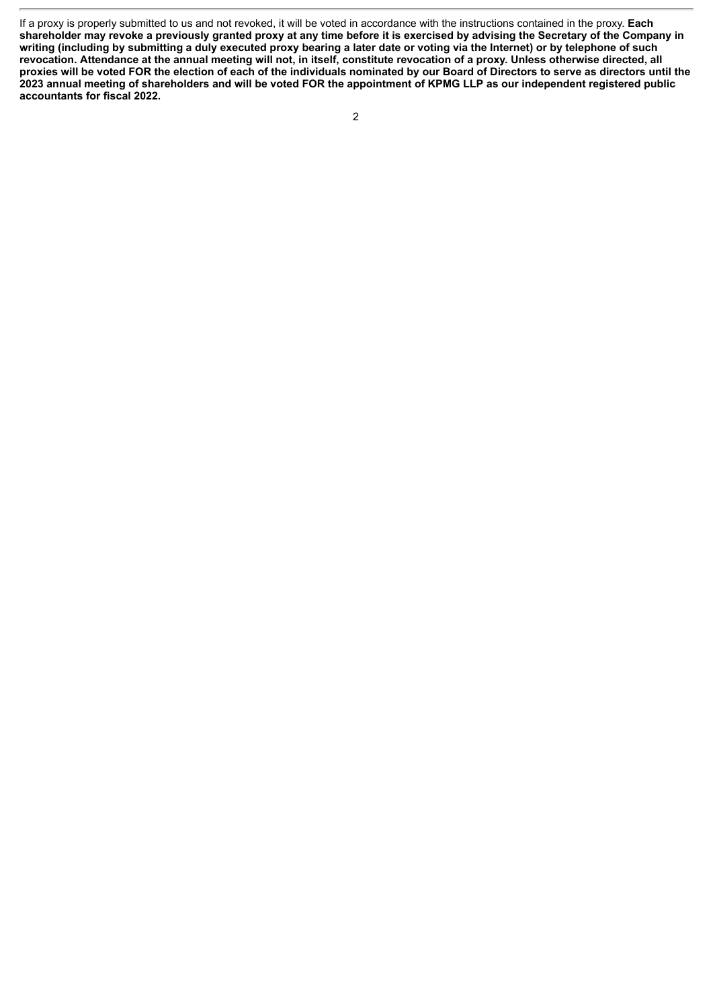If a proxy is properly submitted to us and not revoked, it will be voted in accordance with the instructions contained in the proxy. **Each** shareholder may revoke a previously granted proxy at any time before it is exercised by advising the Secretary of the Company in writing (including by submitting a duly executed proxy bearing a later date or voting via the Internet) or by telephone of such revocation. Attendance at the annual meeting will not, in itself, constitute revocation of a proxy. Unless otherwise directed, all proxies will be voted FOR the election of each of the individuals nominated by our Board of Directors to serve as directors until the 2023 annual meeting of shareholders and will be voted FOR the appointment of KPMG LLP as our independent registered public **accountants for fiscal 2022.**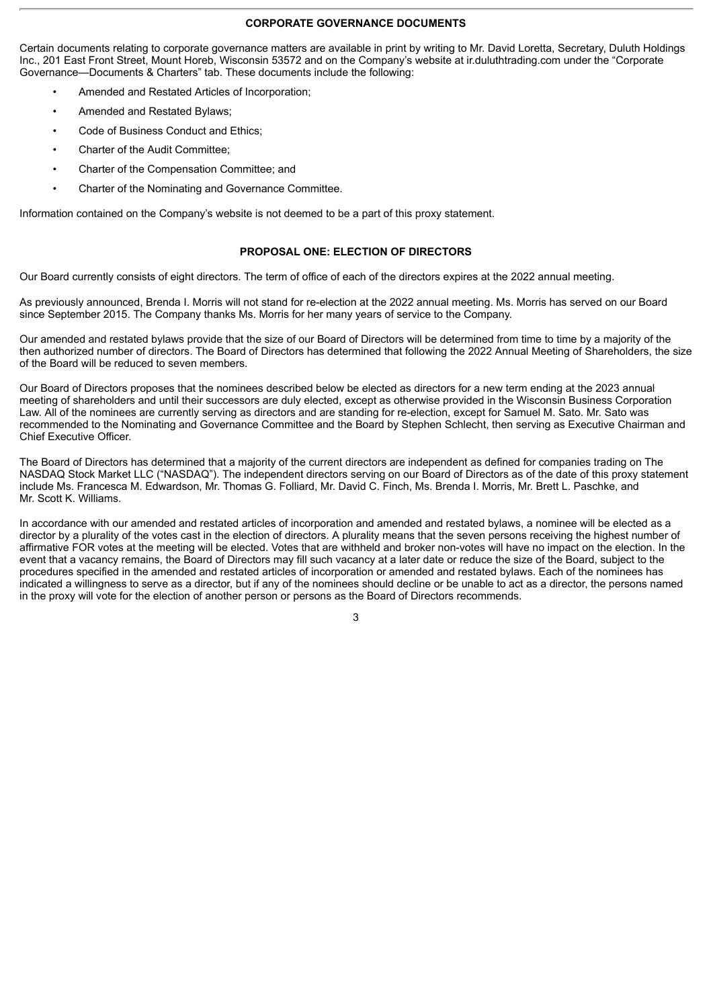#### **CORPORATE GOVERNANCE DOCUMENTS**

Certain documents relating to corporate governance matters are available in print by writing to Mr. David Loretta, Secretary, Duluth Holdings Inc., 201 East Front Street, Mount Horeb, Wisconsin 53572 and on the Company's website at ir.duluthtrading.com under the "Corporate Governance—Documents & Charters" tab. These documents include the following:

- Amended and Restated Articles of Incorporation;
- Amended and Restated Bylaws;
- Code of Business Conduct and Ethics;
- Charter of the Audit Committee;
- Charter of the Compensation Committee; and
- Charter of the Nominating and Governance Committee.

Information contained on the Company's website is not deemed to be a part of this proxy statement.

#### **PROPOSAL ONE: ELECTION OF DIRECTORS**

Our Board currently consists of eight directors. The term of office of each of the directors expires at the 2022 annual meeting.

As previously announced, Brenda I. Morris will not stand for re-election at the 2022 annual meeting. Ms. Morris has served on our Board since September 2015. The Company thanks Ms. Morris for her many years of service to the Company.

Our amended and restated bylaws provide that the size of our Board of Directors will be determined from time to time by a majority of the then authorized number of directors. The Board of Directors has determined that following the 2022 Annual Meeting of Shareholders, the size of the Board will be reduced to seven members.

Our Board of Directors proposes that the nominees described below be elected as directors for a new term ending at the 2023 annual meeting of shareholders and until their successors are duly elected, except as otherwise provided in the Wisconsin Business Corporation Law. All of the nominees are currently serving as directors and are standing for re-election, except for Samuel M. Sato. Mr. Sato was recommended to the Nominating and Governance Committee and the Board by Stephen Schlecht, then serving as Executive Chairman and Chief Executive Officer.

The Board of Directors has determined that a majority of the current directors are independent as defined for companies trading on The NASDAQ Stock Market LLC ("NASDAQ"). The independent directors serving on our Board of Directors as of the date of this proxy statement include Ms. Francesca M. Edwardson, Mr. Thomas G. Folliard, Mr. David C. Finch, Ms. Brenda I. Morris, Mr. Brett L. Paschke, and Mr. Scott K. Williams.

In accordance with our amended and restated articles of incorporation and amended and restated bylaws, a nominee will be elected as a director by a plurality of the votes cast in the election of directors. A plurality means that the seven persons receiving the highest number of affirmative FOR votes at the meeting will be elected. Votes that are withheld and broker non-votes will have no impact on the election. In the event that a vacancy remains, the Board of Directors may fill such vacancy at a later date or reduce the size of the Board, subject to the procedures specified in the amended and restated articles of incorporation or amended and restated bylaws. Each of the nominees has indicated a willingness to serve as a director, but if any of the nominees should decline or be unable to act as a director, the persons named in the proxy will vote for the election of another person or persons as the Board of Directors recommends.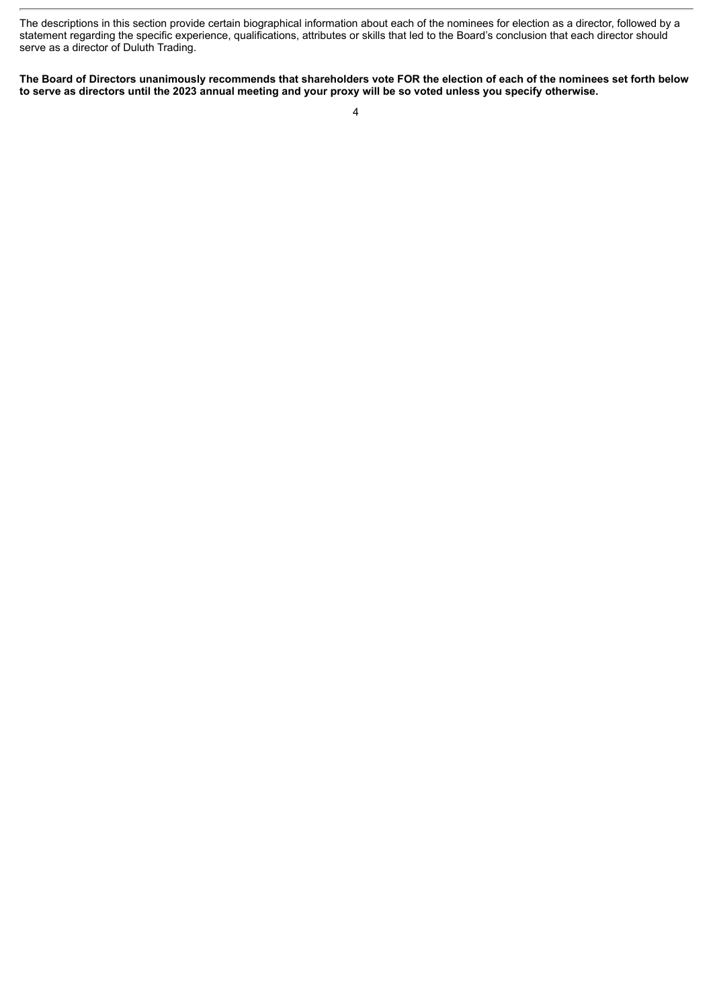The descriptions in this section provide certain biographical information about each of the nominees for election as a director, followed by a statement regarding the specific experience, qualifications, attributes or skills that led to the Board's conclusion that each director should serve as a director of Duluth Trading.

The Board of Directors unanimously recommends that shareholders vote FOR the election of each of the nominees set forth below to serve as directors until the 2023 annual meeting and your proxy will be so voted unless you specify otherwise.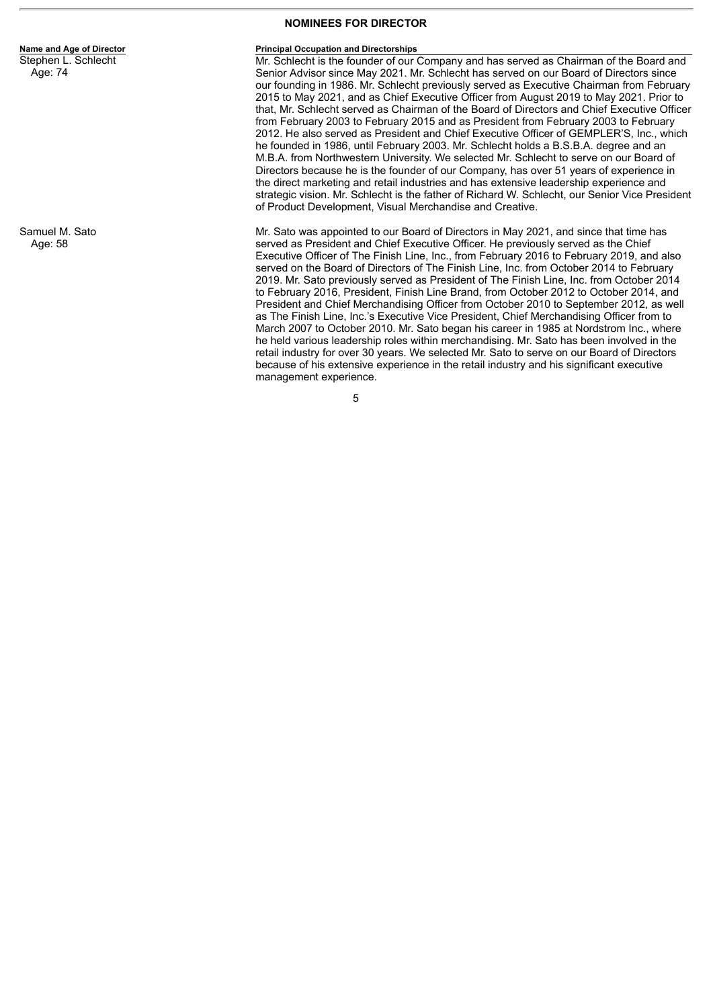Stephen L. Schlecht Age: 74

Samuel M. Sato Age: 58

#### **NOMINEES FOR DIRECTOR**

5

#### **Name and Age of Director Principal Occupation and Directorships**

Mr. Schlecht is the founder of our Company and has served as Chairman of the Board and Senior Advisor since May 2021. Mr. Schlecht has served on our Board of Directors since our founding in 1986. Mr. Schlecht previously served as Executive Chairman from February 2015 to May 2021, and as Chief Executive Officer from August 2019 to May 2021. Prior to that, Mr. Schlecht served as Chairman of the Board of Directors and Chief Executive Officer from February 2003 to February 2015 and as President from February 2003 to February 2012. He also served as President and Chief Executive Officer of GEMPLER'S, Inc., which he founded in 1986, until February 2003. Mr. Schlecht holds a B.S.B.A. degree and an M.B.A. from Northwestern University. We selected Mr. Schlecht to serve on our Board of Directors because he is the founder of our Company, has over 51 years of experience in the direct marketing and retail industries and has extensive leadership experience and strategic vision. Mr. Schlecht is the father of Richard W. Schlecht, our Senior Vice President of Product Development, Visual Merchandise and Creative.

Mr. Sato was appointed to our Board of Directors in May 2021, and since that time has served as President and Chief Executive Officer. He previously served as the Chief Executive Officer of The Finish Line, Inc., from February 2016 to February 2019, and also served on the Board of Directors of The Finish Line, Inc. from October 2014 to February 2019. Mr. Sato previously served as President of The Finish Line, Inc. from October 2014 to February 2016, President, Finish Line Brand, from October 2012 to October 2014, and President and Chief Merchandising Officer from October 2010 to September 2012, as well as The Finish Line, Inc.'s Executive Vice President, Chief Merchandising Officer from to March 2007 to October 2010. Mr. Sato began his career in 1985 at Nordstrom Inc., where he held various leadership roles within merchandising. Mr. Sato has been involved in the retail industry for over 30 years. We selected Mr. Sato to serve on our Board of Directors because of his extensive experience in the retail industry and his significant executive management experience.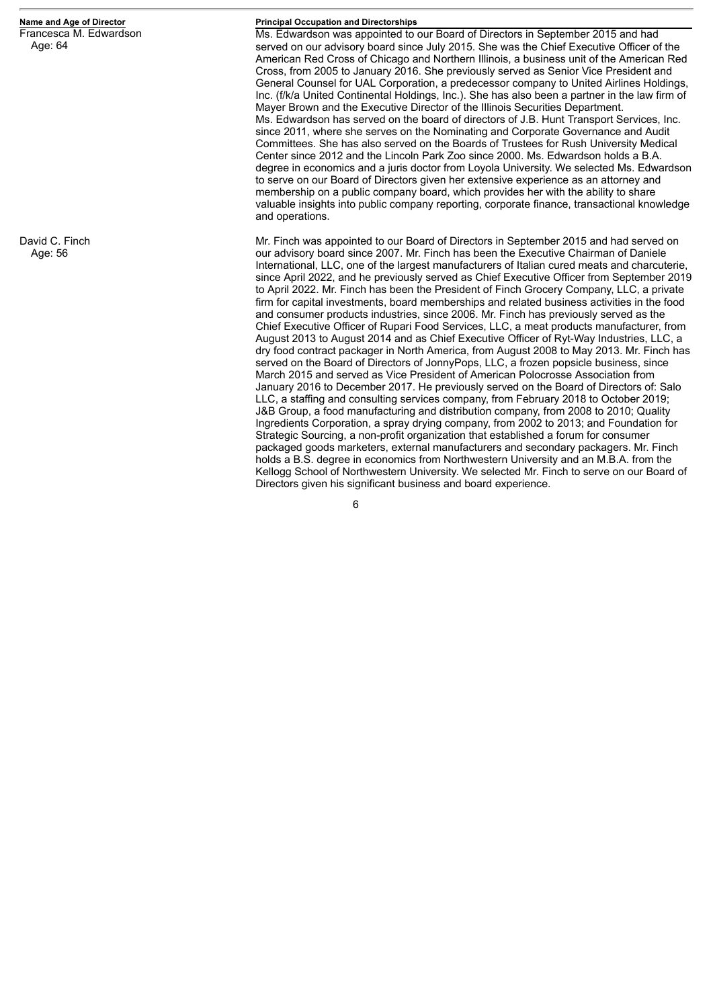## Francesca M. Edwardson Age: 64

David C. Finch Age: 56

#### **Name and Age of Director Principal Occupation and Directorships**

6

Ms. Edwardson was appointed to our Board of Directors in September 2015 and had served on our advisory board since July 2015. She was the Chief Executive Officer of the American Red Cross of Chicago and Northern Illinois, a business unit of the American Red Cross, from 2005 to January 2016. She previously served as Senior Vice President and General Counsel for UAL Corporation, a predecessor company to United Airlines Holdings, Inc. (f/k/a United Continental Holdings, Inc.). She has also been a partner in the law firm of Mayer Brown and the Executive Director of the Illinois Securities Department. Ms. Edwardson has served on the board of directors of J.B. Hunt Transport Services, Inc. since 2011, where she serves on the Nominating and Corporate Governance and Audit Committees. She has also served on the Boards of Trustees for Rush University Medical Center since 2012 and the Lincoln Park Zoo since 2000. Ms. Edwardson holds a B.A. degree in economics and a juris doctor from Loyola University. We selected Ms. Edwardson to serve on our Board of Directors given her extensive experience as an attorney and membership on a public company board, which provides her with the ability to share valuable insights into public company reporting, corporate finance, transactional knowledge and operations.

Mr. Finch was appointed to our Board of Directors in September 2015 and had served on our advisory board since 2007. Mr. Finch has been the Executive Chairman of Daniele International, LLC, one of the largest manufacturers of Italian cured meats and charcuterie, since April 2022, and he previously served as Chief Executive Officer from September 2019 to April 2022. Mr. Finch has been the President of Finch Grocery Company, LLC, a private firm for capital investments, board memberships and related business activities in the food and consumer products industries, since 2006. Mr. Finch has previously served as the Chief Executive Officer of Rupari Food Services, LLC, a meat products manufacturer, from August 2013 to August 2014 and as Chief Executive Officer of Ryt-Way Industries, LLC, a dry food contract packager in North America, from August 2008 to May 2013. Mr. Finch has served on the Board of Directors of JonnyPops, LLC, a frozen popsicle business, since March 2015 and served as Vice President of American Polocrosse Association from January 2016 to December 2017. He previously served on the Board of Directors of: Salo LLC, a staffing and consulting services company, from February 2018 to October 2019; J&B Group, a food manufacturing and distribution company, from 2008 to 2010; Quality Ingredients Corporation, a spray drying company, from 2002 to 2013; and Foundation for Strategic Sourcing, a non-profit organization that established a forum for consumer packaged goods marketers, external manufacturers and secondary packagers. Mr. Finch holds a B.S. degree in economics from Northwestern University and an M.B.A. from the Kellogg School of Northwestern University. We selected Mr. Finch to serve on our Board of Directors given his significant business and board experience.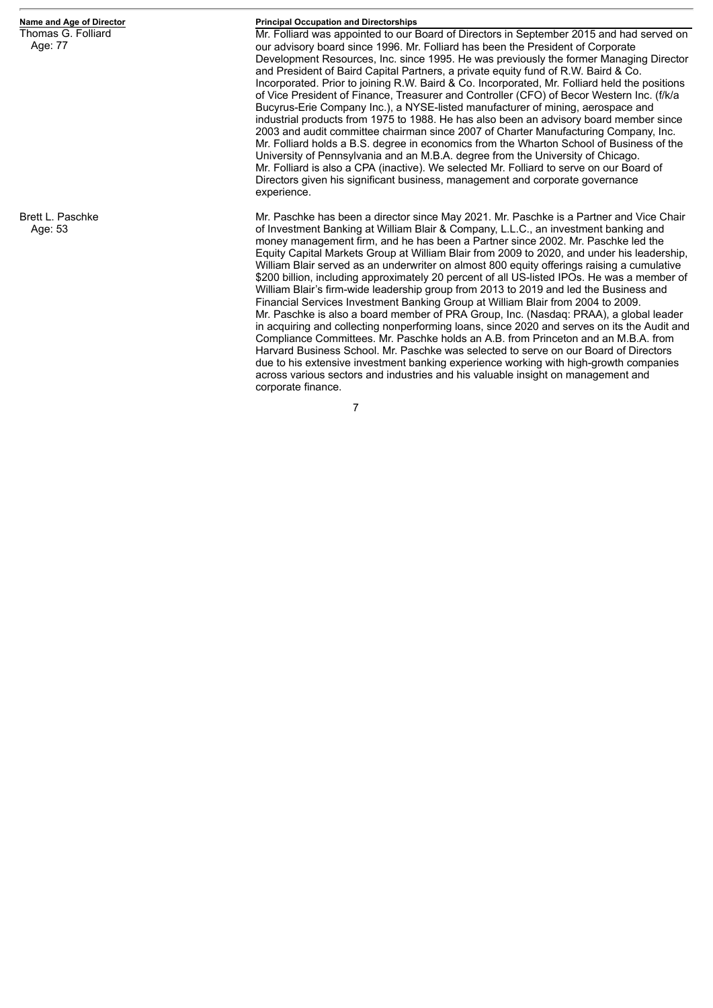## Thomas G. Folliard Age: 77

Brett L. Paschke Age: 53

#### **Name and Age of Director Principal Occupation and Directorships**

Mr. Folliard was appointed to our Board of Directors in September 2015 and had served on our advisory board since 1996. Mr. Folliard has been the President of Corporate Development Resources, Inc. since 1995. He was previously the former Managing Director and President of Baird Capital Partners, a private equity fund of R.W. Baird & Co. Incorporated. Prior to joining R.W. Baird & Co. Incorporated, Mr. Folliard held the positions of Vice President of Finance, Treasurer and Controller (CFO) of Becor Western Inc. (f/k/a Bucyrus-Erie Company Inc.), a NYSE-listed manufacturer of mining, aerospace and industrial products from 1975 to 1988. He has also been an advisory board member since 2003 and audit committee chairman since 2007 of Charter Manufacturing Company, Inc. Mr. Folliard holds a B.S. degree in economics from the Wharton School of Business of the University of Pennsylvania and an M.B.A. degree from the University of Chicago. Mr. Folliard is also a CPA (inactive). We selected Mr. Folliard to serve on our Board of Directors given his significant business, management and corporate governance experience.

Mr. Paschke has been a director since May 2021. Mr. Paschke is a Partner and Vice Chair of Investment Banking at William Blair & Company, L.L.C., an investment banking and money management firm, and he has been a Partner since 2002. Mr. Paschke led the Equity Capital Markets Group at William Blair from 2009 to 2020, and under his leadership, William Blair served as an underwriter on almost 800 equity offerings raising a cumulative \$200 billion, including approximately 20 percent of all US-listed IPOs. He was a member of William Blair's firm-wide leadership group from 2013 to 2019 and led the Business and Financial Services Investment Banking Group at William Blair from 2004 to 2009. Mr. Paschke is also a board member of PRA Group, Inc. (Nasdaq: PRAA), a global leader in acquiring and collecting nonperforming loans, since 2020 and serves on its the Audit and Compliance Committees. Mr. Paschke holds an A.B. from Princeton and an M.B.A. from Harvard Business School. Mr. Paschke was selected to serve on our Board of Directors due to his extensive investment banking experience working with high-growth companies across various sectors and industries and his valuable insight on management and corporate finance.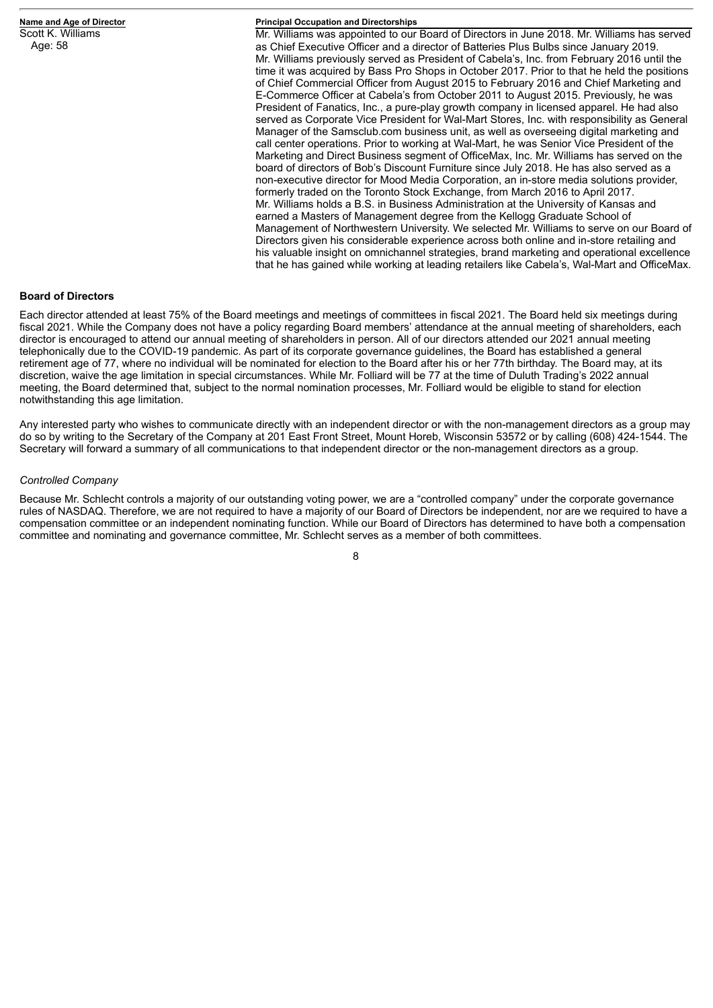Scott K. Williams Age: 58

#### **Name and Age of Director Principal Occupation and Directorships**

Mr. Williams was appointed to our Board of Directors in June 2018. Mr. Williams has served as Chief Executive Officer and a director of Batteries Plus Bulbs since January 2019. Mr. Williams previously served as President of Cabela's, Inc. from February 2016 until the time it was acquired by Bass Pro Shops in October 2017. Prior to that he held the positions of Chief Commercial Officer from August 2015 to February 2016 and Chief Marketing and E-Commerce Officer at Cabela's from October 2011 to August 2015. Previously, he was President of Fanatics, Inc., a pure-play growth company in licensed apparel. He had also served as Corporate Vice President for Wal-Mart Stores, Inc. with responsibility as General Manager of the Samsclub.com business unit, as well as overseeing digital marketing and call center operations. Prior to working at Wal-Mart, he was Senior Vice President of the Marketing and Direct Business segment of OfficeMax, Inc. Mr. Williams has served on the board of directors of Bob's Discount Furniture since July 2018. He has also served as a non-executive director for Mood Media Corporation, an in-store media solutions provider, formerly traded on the Toronto Stock Exchange, from March 2016 to April 2017. Mr. Williams holds a B.S. in Business Administration at the University of Kansas and earned a Masters of Management degree from the Kellogg Graduate School of Management of Northwestern University. We selected Mr. Williams to serve on our Board of Directors given his considerable experience across both online and in-store retailing and his valuable insight on omnichannel strategies, brand marketing and operational excellence that he has gained while working at leading retailers like Cabela's, Wal-Mart and OfficeMax.

#### **Board of Directors**

Each director attended at least 75% of the Board meetings and meetings of committees in fiscal 2021. The Board held six meetings during fiscal 2021. While the Company does not have a policy regarding Board members' attendance at the annual meeting of shareholders, each director is encouraged to attend our annual meeting of shareholders in person. All of our directors attended our 2021 annual meeting telephonically due to the COVID-19 pandemic. As part of its corporate governance guidelines, the Board has established a general retirement age of 77, where no individual will be nominated for election to the Board after his or her 77th birthday. The Board may, at its discretion, waive the age limitation in special circumstances. While Mr. Folliard will be 77 at the time of Duluth Trading's 2022 annual meeting, the Board determined that, subject to the normal nomination processes, Mr. Folliard would be eligible to stand for election notwithstanding this age limitation.

Any interested party who wishes to communicate directly with an independent director or with the non-management directors as a group may do so by writing to the Secretary of the Company at 201 East Front Street, Mount Horeb, Wisconsin 53572 or by calling (608) 424-1544. The Secretary will forward a summary of all communications to that independent director or the non-management directors as a group.

#### *Controlled Company*

Because Mr. Schlecht controls a majority of our outstanding voting power, we are a "controlled company" under the corporate governance rules of NASDAQ. Therefore, we are not required to have a majority of our Board of Directors be independent, nor are we required to have a compensation committee or an independent nominating function. While our Board of Directors has determined to have both a compensation committee and nominating and governance committee, Mr. Schlecht serves as a member of both committees.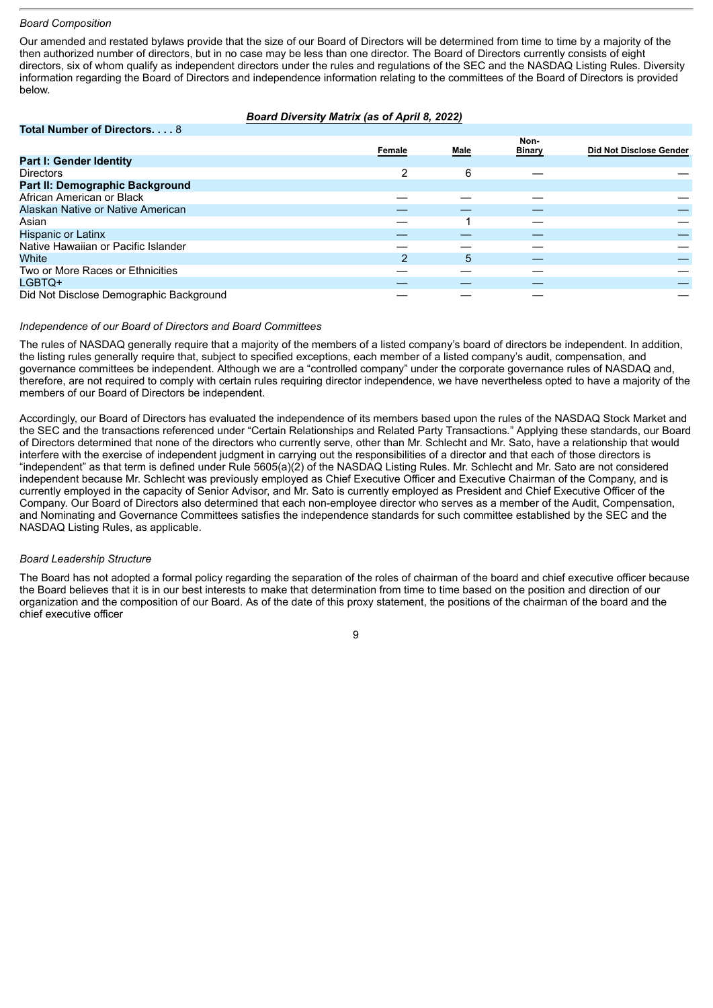#### *Board Composition*

Our amended and restated bylaws provide that the size of our Board of Directors will be determined from time to time by a majority of the then authorized number of directors, but in no case may be less than one director. The Board of Directors currently consists of eight directors, six of whom qualify as independent directors under the rules and regulations of the SEC and the NASDAQ Listing Rules. Diversity information regarding the Board of Directors and independence information relating to the committees of the Board of Directors is provided below.

#### *Board Diversity Matrix (as of April 8, 2022)*

| Total Number of Directors8              |        |      |                       |                         |
|-----------------------------------------|--------|------|-----------------------|-------------------------|
|                                         | Female | Male | Non-<br><b>Binary</b> | Did Not Disclose Gender |
| <b>Part I: Gender Identity</b>          |        |      |                       |                         |
| <b>Directors</b>                        | 2      | 6    |                       |                         |
| Part II: Demographic Background         |        |      |                       |                         |
| African American or Black               |        |      |                       |                         |
| Alaskan Native or Native American       |        |      |                       |                         |
| Asian                                   |        |      |                       |                         |
| <b>Hispanic or Latinx</b>               |        |      |                       |                         |
| Native Hawaiian or Pacific Islander     |        |      |                       |                         |
| White                                   |        | 5    |                       |                         |
| Two or More Races or Ethnicities        |        |      |                       |                         |
| LGBTQ+                                  |        |      |                       |                         |
| Did Not Disclose Demographic Background |        |      |                       |                         |

#### *Independence of our Board of Directors and Board Committees*

The rules of NASDAQ generally require that a majority of the members of a listed company's board of directors be independent. In addition, the listing rules generally require that, subject to specified exceptions, each member of a listed company's audit, compensation, and governance committees be independent. Although we are a "controlled company" under the corporate governance rules of NASDAQ and, therefore, are not required to comply with certain rules requiring director independence, we have nevertheless opted to have a majority of the members of our Board of Directors be independent.

Accordingly, our Board of Directors has evaluated the independence of its members based upon the rules of the NASDAQ Stock Market and the SEC and the transactions referenced under "Certain Relationships and Related Party Transactions*.*" Applying these standards, our Board of Directors determined that none of the directors who currently serve, other than Mr. Schlecht and Mr. Sato, have a relationship that would interfere with the exercise of independent judgment in carrying out the responsibilities of a director and that each of those directors is "independent" as that term is defined under Rule 5605(a)(2) of the NASDAQ Listing Rules. Mr. Schlecht and Mr. Sato are not considered independent because Mr. Schlecht was previously employed as Chief Executive Officer and Executive Chairman of the Company, and is currently employed in the capacity of Senior Advisor, and Mr. Sato is currently employed as President and Chief Executive Officer of the Company. Our Board of Directors also determined that each non-employee director who serves as a member of the Audit, Compensation, and Nominating and Governance Committees satisfies the independence standards for such committee established by the SEC and the NASDAQ Listing Rules, as applicable.

#### *Board Leadership Structure*

The Board has not adopted a formal policy regarding the separation of the roles of chairman of the board and chief executive officer because the Board believes that it is in our best interests to make that determination from time to time based on the position and direction of our organization and the composition of our Board. As of the date of this proxy statement, the positions of the chairman of the board and the chief executive officer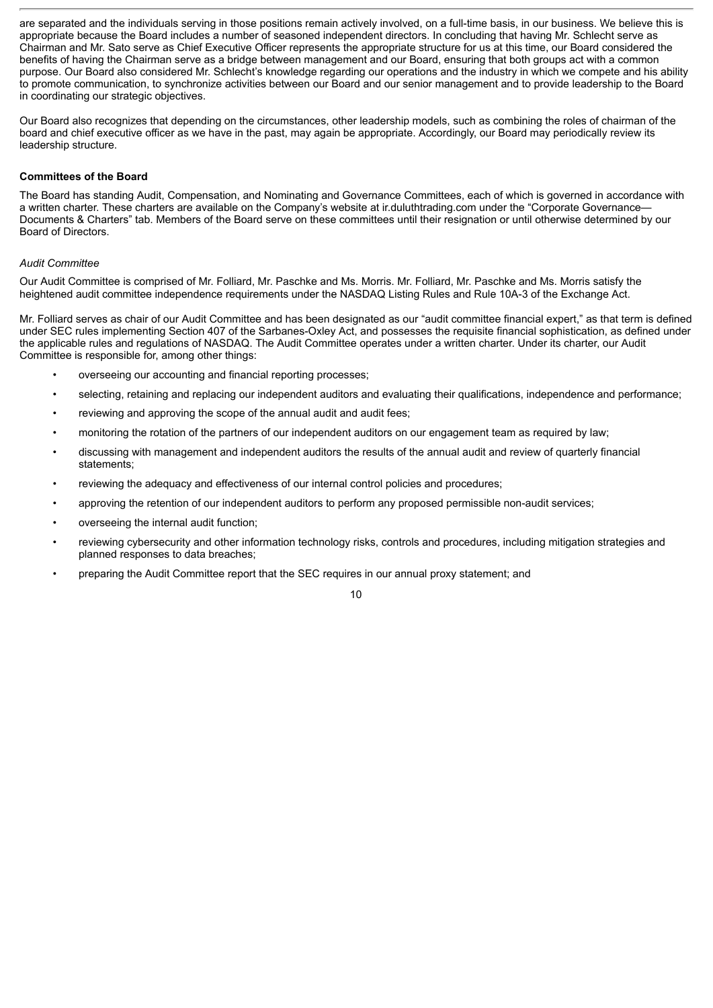are separated and the individuals serving in those positions remain actively involved, on a full-time basis, in our business. We believe this is appropriate because the Board includes a number of seasoned independent directors. In concluding that having Mr. Schlecht serve as Chairman and Mr. Sato serve as Chief Executive Officer represents the appropriate structure for us at this time, our Board considered the benefits of having the Chairman serve as a bridge between management and our Board, ensuring that both groups act with a common purpose. Our Board also considered Mr. Schlecht's knowledge regarding our operations and the industry in which we compete and his ability to promote communication, to synchronize activities between our Board and our senior management and to provide leadership to the Board in coordinating our strategic objectives.

Our Board also recognizes that depending on the circumstances, other leadership models, such as combining the roles of chairman of the board and chief executive officer as we have in the past, may again be appropriate. Accordingly, our Board may periodically review its leadership structure.

#### **Committees of the Board**

The Board has standing Audit, Compensation, and Nominating and Governance Committees, each of which is governed in accordance with a written charter. These charters are available on the Company's website at ir.duluthtrading.com under the "Corporate Governance— Documents & Charters" tab. Members of the Board serve on these committees until their resignation or until otherwise determined by our Board of Directors.

#### *Audit Committee*

Our Audit Committee is comprised of Mr. Folliard, Mr. Paschke and Ms. Morris. Mr. Folliard, Mr. Paschke and Ms. Morris satisfy the heightened audit committee independence requirements under the NASDAQ Listing Rules and Rule 10A-3 of the Exchange Act.

Mr. Folliard serves as chair of our Audit Committee and has been designated as our "audit committee financial expert," as that term is defined under SEC rules implementing Section 407 of the Sarbanes-Oxley Act, and possesses the requisite financial sophistication, as defined under the applicable rules and regulations of NASDAQ. The Audit Committee operates under a written charter. Under its charter, our Audit Committee is responsible for, among other things:

- overseeing our accounting and financial reporting processes;
- selecting, retaining and replacing our independent auditors and evaluating their qualifications, independence and performance;
- reviewing and approving the scope of the annual audit and audit fees;
- monitoring the rotation of the partners of our independent auditors on our engagement team as required by law;
- discussing with management and independent auditors the results of the annual audit and review of quarterly financial statements;
- reviewing the adequacy and effectiveness of our internal control policies and procedures;
- approving the retention of our independent auditors to perform any proposed permissible non-audit services;
- overseeing the internal audit function;
- reviewing cybersecurity and other information technology risks, controls and procedures, including mitigation strategies and planned responses to data breaches;
- preparing the Audit Committee report that the SEC requires in our annual proxy statement; and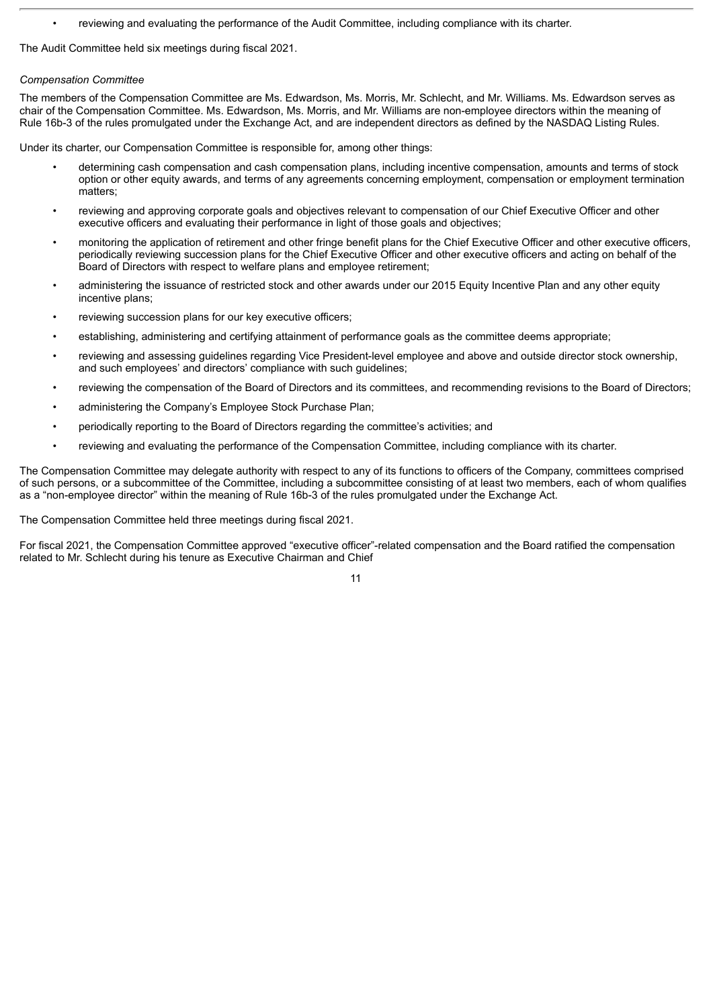• reviewing and evaluating the performance of the Audit Committee, including compliance with its charter.

The Audit Committee held six meetings during fiscal 2021.

#### *Compensation Committee*

The members of the Compensation Committee are Ms. Edwardson, Ms. Morris, Mr. Schlecht, and Mr. Williams. Ms. Edwardson serves as chair of the Compensation Committee. Ms. Edwardson, Ms. Morris, and Mr. Williams are non-employee directors within the meaning of Rule 16b-3 of the rules promulgated under the Exchange Act, and are independent directors as defined by the NASDAQ Listing Rules.

Under its charter, our Compensation Committee is responsible for, among other things:

- determining cash compensation and cash compensation plans, including incentive compensation, amounts and terms of stock option or other equity awards, and terms of any agreements concerning employment, compensation or employment termination matters;
- reviewing and approving corporate goals and objectives relevant to compensation of our Chief Executive Officer and other executive officers and evaluating their performance in light of those goals and objectives;
- monitoring the application of retirement and other fringe benefit plans for the Chief Executive Officer and other executive officers, periodically reviewing succession plans for the Chief Executive Officer and other executive officers and acting on behalf of the Board of Directors with respect to welfare plans and employee retirement;
- administering the issuance of restricted stock and other awards under our 2015 Equity Incentive Plan and any other equity incentive plans;
- reviewing succession plans for our key executive officers;
- establishing, administering and certifying attainment of performance goals as the committee deems appropriate;
- reviewing and assessing guidelines regarding Vice President-level employee and above and outside director stock ownership, and such employees' and directors' compliance with such guidelines;
- reviewing the compensation of the Board of Directors and its committees, and recommending revisions to the Board of Directors;
- administering the Company's Employee Stock Purchase Plan;
- periodically reporting to the Board of Directors regarding the committee's activities; and
- reviewing and evaluating the performance of the Compensation Committee, including compliance with its charter.

The Compensation Committee may delegate authority with respect to any of its functions to officers of the Company, committees comprised of such persons, or a subcommittee of the Committee, including a subcommittee consisting of at least two members, each of whom qualifies as a "non-employee director" within the meaning of Rule 16b-3 of the rules promulgated under the Exchange Act.

The Compensation Committee held three meetings during fiscal 2021.

For fiscal 2021, the Compensation Committee approved "executive officer"-related compensation and the Board ratified the compensation related to Mr. Schlecht during his tenure as Executive Chairman and Chief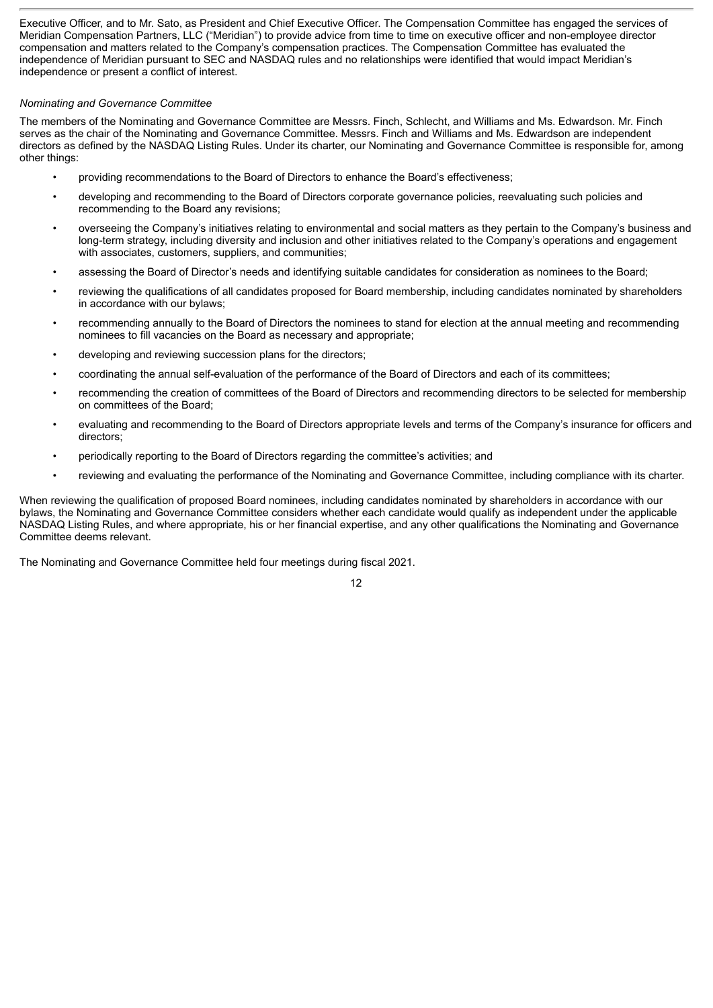Executive Officer, and to Mr. Sato, as President and Chief Executive Officer. The Compensation Committee has engaged the services of Meridian Compensation Partners, LLC ("Meridian") to provide advice from time to time on executive officer and non-employee director compensation and matters related to the Company's compensation practices. The Compensation Committee has evaluated the independence of Meridian pursuant to SEC and NASDAQ rules and no relationships were identified that would impact Meridian's independence or present a conflict of interest.

#### *Nominating and Governance Committee*

The members of the Nominating and Governance Committee are Messrs. Finch, Schlecht, and Williams and Ms. Edwardson. Mr. Finch serves as the chair of the Nominating and Governance Committee. Messrs. Finch and Williams and Ms. Edwardson are independent directors as defined by the NASDAQ Listing Rules. Under its charter, our Nominating and Governance Committee is responsible for, among other things:

- providing recommendations to the Board of Directors to enhance the Board's effectiveness;
- developing and recommending to the Board of Directors corporate governance policies, reevaluating such policies and recommending to the Board any revisions;
- overseeing the Company's initiatives relating to environmental and social matters as they pertain to the Company's business and long-term strategy, including diversity and inclusion and other initiatives related to the Company's operations and engagement with associates, customers, suppliers, and communities;
- assessing the Board of Director's needs and identifying suitable candidates for consideration as nominees to the Board;
- reviewing the qualifications of all candidates proposed for Board membership, including candidates nominated by shareholders in accordance with our bylaws;
- recommending annually to the Board of Directors the nominees to stand for election at the annual meeting and recommending nominees to fill vacancies on the Board as necessary and appropriate;
- developing and reviewing succession plans for the directors;
- coordinating the annual self-evaluation of the performance of the Board of Directors and each of its committees;
- recommending the creation of committees of the Board of Directors and recommending directors to be selected for membership on committees of the Board;
- evaluating and recommending to the Board of Directors appropriate levels and terms of the Company's insurance for officers and directors;
- periodically reporting to the Board of Directors regarding the committee's activities; and
- reviewing and evaluating the performance of the Nominating and Governance Committee, including compliance with its charter.

When reviewing the qualification of proposed Board nominees, including candidates nominated by shareholders in accordance with our bylaws, the Nominating and Governance Committee considers whether each candidate would qualify as independent under the applicable NASDAQ Listing Rules, and where appropriate, his or her financial expertise, and any other qualifications the Nominating and Governance Committee deems relevant.

The Nominating and Governance Committee held four meetings during fiscal 2021.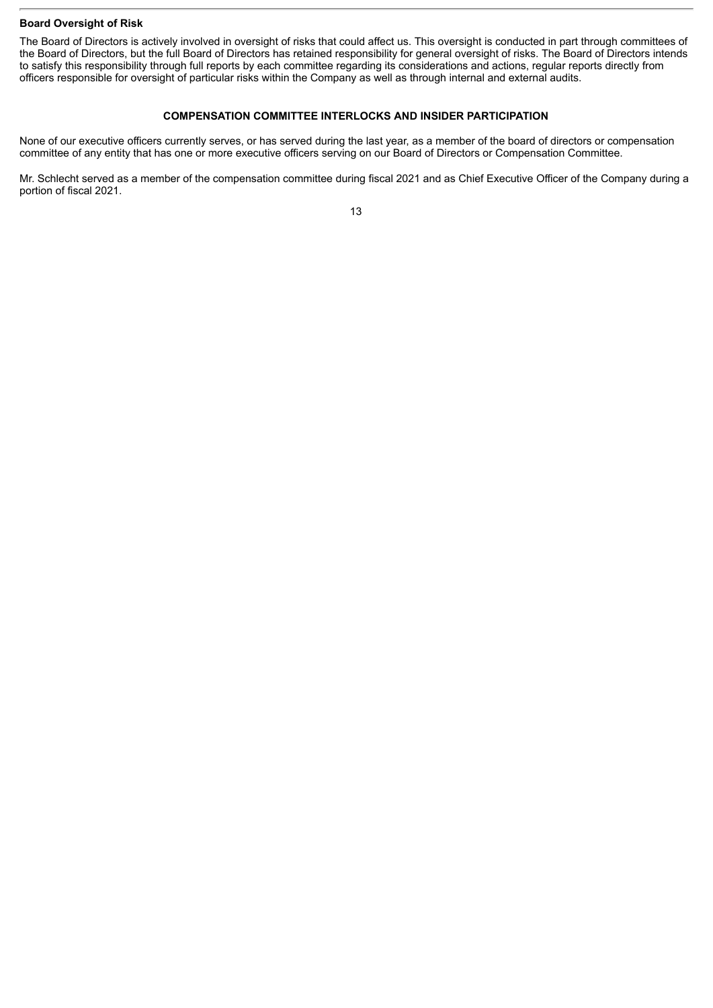#### **Board Oversight of Risk**

The Board of Directors is actively involved in oversight of risks that could affect us. This oversight is conducted in part through committees of the Board of Directors, but the full Board of Directors has retained responsibility for general oversight of risks. The Board of Directors intends to satisfy this responsibility through full reports by each committee regarding its considerations and actions, regular reports directly from officers responsible for oversight of particular risks within the Company as well as through internal and external audits.

#### **COMPENSATION COMMITTEE INTERLOCKS AND INSIDER PARTICIPATION**

None of our executive officers currently serves, or has served during the last year, as a member of the board of directors or compensation committee of any entity that has one or more executive officers serving on our Board of Directors or Compensation Committee.

Mr. Schlecht served as a member of the compensation committee during fiscal 2021 and as Chief Executive Officer of the Company during a portion of fiscal 2021.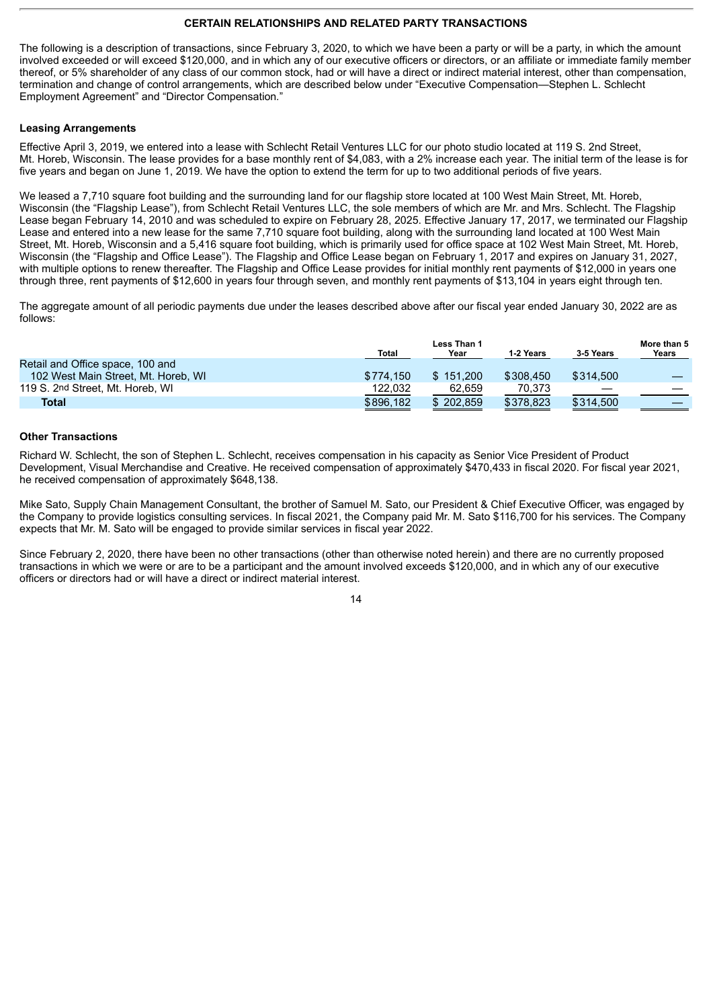#### **CERTAIN RELATIONSHIPS AND RELATED PARTY TRANSACTIONS**

The following is a description of transactions, since February 3, 2020, to which we have been a party or will be a party, in which the amount involved exceeded or will exceed \$120,000, and in which any of our executive officers or directors, or an affiliate or immediate family member thereof, or 5% shareholder of any class of our common stock, had or will have a direct or indirect material interest, other than compensation, termination and change of control arrangements, which are described below under "Executive Compensation*—*Stephen L. Schlecht Employment Agreement" and "Director Compensation*.*"

#### **Leasing Arrangements**

Effective April 3, 2019, we entered into a lease with Schlecht Retail Ventures LLC for our photo studio located at 119 S. 2nd Street, Mt. Horeb, Wisconsin. The lease provides for a base monthly rent of \$4,083, with a 2% increase each year. The initial term of the lease is for five years and began on June 1, 2019. We have the option to extend the term for up to two additional periods of five years.

We leased a 7,710 square foot building and the surrounding land for our flagship store located at 100 West Main Street, Mt. Horeb, Wisconsin (the "Flagship Lease"), from Schlecht Retail Ventures LLC, the sole members of which are Mr. and Mrs. Schlecht. The Flagship Lease began February 14, 2010 and was scheduled to expire on February 28, 2025. Effective January 17, 2017, we terminated our Flagship Lease and entered into a new lease for the same 7,710 square foot building, along with the surrounding land located at 100 West Main Street, Mt. Horeb, Wisconsin and a 5,416 square foot building, which is primarily used for office space at 102 West Main Street, Mt. Horeb, Wisconsin (the "Flagship and Office Lease"). The Flagship and Office Lease began on February 1, 2017 and expires on January 31, 2027, with multiple options to renew thereafter. The Flagship and Office Lease provides for initial monthly rent payments of \$12,000 in years one through three, rent payments of \$12,600 in years four through seven, and monthly rent payments of \$13,104 in years eight through ten.

The aggregate amount of all periodic payments due under the leases described above after our fiscal year ended January 30, 2022 are as follows:

|                                     |           | Less Than 1 |           |           | More than 5 |
|-------------------------------------|-----------|-------------|-----------|-----------|-------------|
|                                     | Total     | Year        | 1-2 Years | 3-5 Years | Years       |
| Retail and Office space, 100 and    |           |             |           |           |             |
| 102 West Main Street, Mt. Horeb, WI | \$774.150 | \$151.200   | \$308.450 | \$314.500 |             |
| 119 S. 2nd Street. Mt. Horeb. WI    | 122.032   | 62.659      | 70.373    |           |             |
| <b>Total</b>                        | \$896,182 | \$202.859   | \$378.823 | \$314,500 |             |

#### **Other Transactions**

Richard W. Schlecht, the son of Stephen L. Schlecht, receives compensation in his capacity as Senior Vice President of Product Development, Visual Merchandise and Creative. He received compensation of approximately \$470,433 in fiscal 2020. For fiscal year 2021, he received compensation of approximately \$648,138.

Mike Sato, Supply Chain Management Consultant, the brother of Samuel M. Sato, our President & Chief Executive Officer, was engaged by the Company to provide logistics consulting services. In fiscal 2021, the Company paid Mr. M. Sato \$116,700 for his services. The Company expects that Mr. M. Sato will be engaged to provide similar services in fiscal year 2022.

Since February 2, 2020, there have been no other transactions (other than otherwise noted herein) and there are no currently proposed transactions in which we were or are to be a participant and the amount involved exceeds \$120,000, and in which any of our executive officers or directors had or will have a direct or indirect material interest.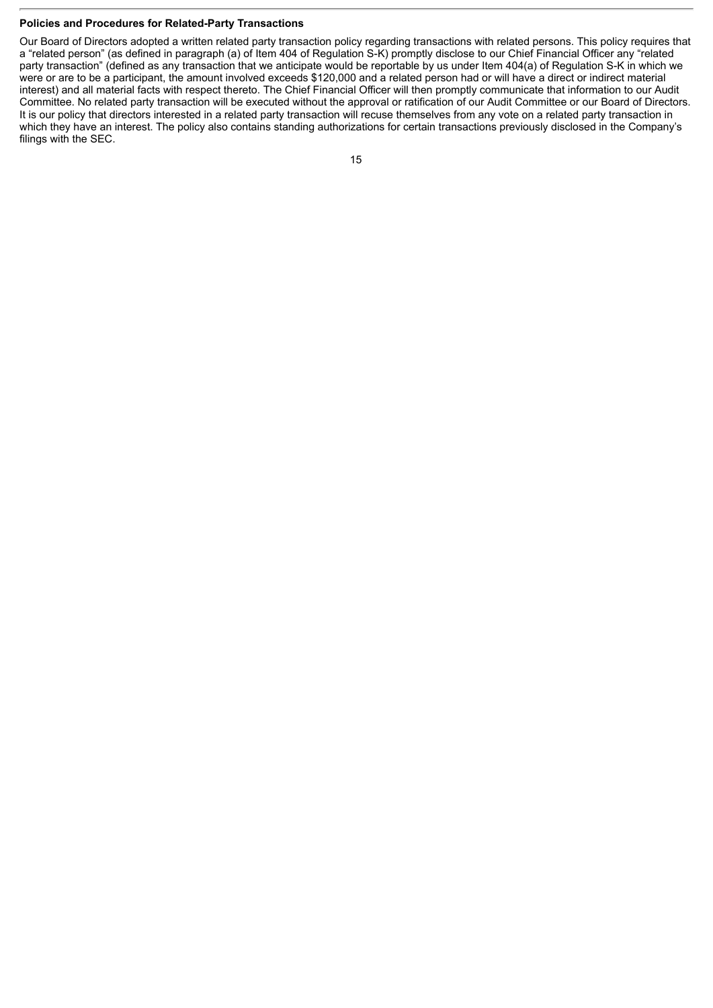#### **Policies and Procedures for Related-Party Transactions**

Our Board of Directors adopted a written related party transaction policy regarding transactions with related persons. This policy requires that a "related person" (as defined in paragraph (a) of Item 404 of Regulation S-K) promptly disclose to our Chief Financial Officer any "related party transaction" (defined as any transaction that we anticipate would be reportable by us under Item 404(a) of Regulation S-K in which we were or are to be a participant, the amount involved exceeds \$120,000 and a related person had or will have a direct or indirect material interest) and all material facts with respect thereto. The Chief Financial Officer will then promptly communicate that information to our Audit Committee. No related party transaction will be executed without the approval or ratification of our Audit Committee or our Board of Directors. It is our policy that directors interested in a related party transaction will recuse themselves from any vote on a related party transaction in which they have an interest. The policy also contains standing authorizations for certain transactions previously disclosed in the Company's filings with the SEC.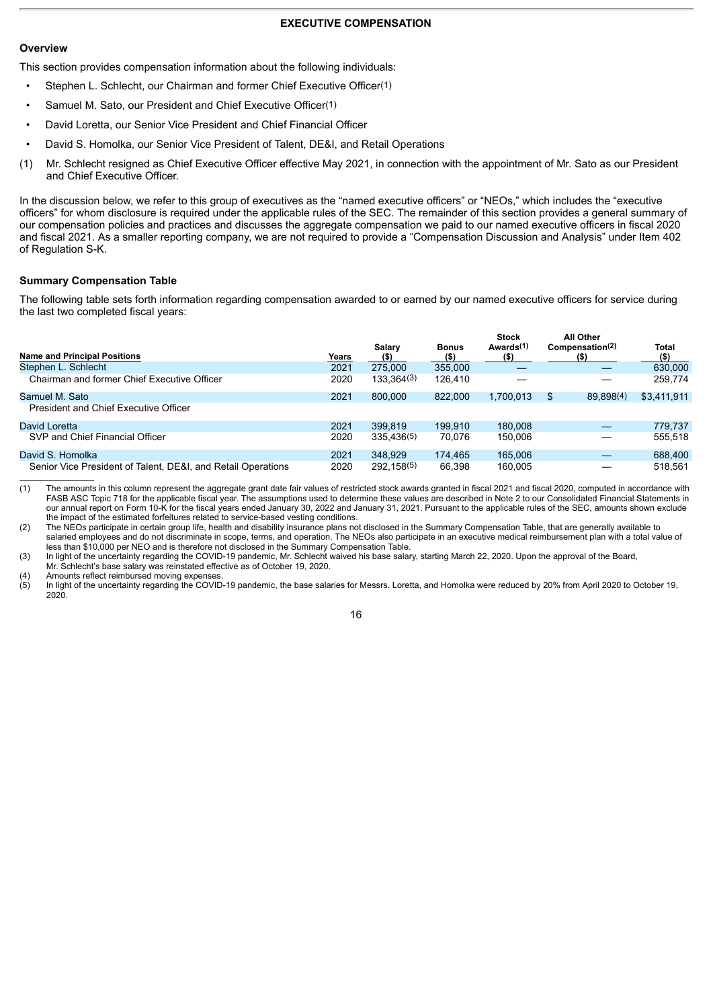#### **EXECUTIVE COMPENSATION**

#### **Overview**

This section provides compensation information about the following individuals:

- Stephen L. Schlecht, our Chairman and former Chief Executive Officer(1)
- Samuel M. Sato, our President and Chief Executive Officer(1)
- David Loretta, our Senior Vice President and Chief Financial Officer
- David S. Homolka, our Senior Vice President of Talent, DE&I, and Retail Operations
- (1) Mr. Schlecht resigned as Chief Executive Officer effective May 2021, in connection with the appointment of Mr. Sato as our President and Chief Executive Officer.

In the discussion below, we refer to this group of executives as the "named executive officers" or "NEOs," which includes the "executive officers" for whom disclosure is required under the applicable rules of the SEC. The remainder of this section provides a general summary of our compensation policies and practices and discusses the aggregate compensation we paid to our named executive officers in fiscal 2020 and fiscal 2021. As a smaller reporting company, we are not required to provide a "Compensation Discussion and Analysis" under Item 402 of Regulation S-K.

#### **Summary Compensation Table**

The following table sets forth information regarding compensation awarded to or earned by our named executive officers for service during the last two completed fiscal years:

|                                                              |       | Salary     | <b>Bonus</b> | <b>Stock</b><br>Awards(1) | <b>All Other</b><br>Compensation(2) | Total       |
|--------------------------------------------------------------|-------|------------|--------------|---------------------------|-------------------------------------|-------------|
| <b>Name and Principal Positions</b>                          | Years | $($ \$)    | $($ \$)      | $($ \$)                   | $($ \$)                             | $($ \$)     |
| Stephen L. Schlecht                                          | 2021  | 275,000    | 355,000      |                           | —                                   | 630.000     |
| Chairman and former Chief Executive Officer                  | 2020  | 133,364(3) | 126,410      |                           |                                     | 259.774     |
| Samuel M. Sato                                               | 2021  | 800,000    | 822,000      | 1.700.013                 | 89.898(4)<br>\$.                    | \$3,411,911 |
| President and Chief Executive Officer                        |       |            |              |                           |                                     |             |
| David Loretta                                                | 2021  | 399.819    | 199.910      | 180.008                   |                                     | 779.737     |
| SVP and Chief Financial Officer                              | 2020  | 335.436(5) | 70.076       | 150.006                   |                                     | 555.518     |
| David S. Homolka                                             | 2021  | 348.929    | 174.465      | 165,006                   |                                     | 688,400     |
| Senior Vice President of Talent, DE&I, and Retail Operations | 2020  | 292.158(5) | 66.398       | 160.005                   |                                     | 518.561     |

(1) The amounts in this column represent the aggregate grant date fair values of restricted stock awards granted in fiscal 2021 and fiscal 2020, computed in accordance with FASB ASC Topic 718 for the applicable fiscal year. The assumptions used to determine these values are described in Note 2 to our Consolidated Financial Statements in our annual report on Form 10-K for the fiscal years ended January 30, 2022 and January 31, 2021. Pursuant to the applicable rules of the SEC, amounts shown exclude the impact of the estimated forfeitures related to service-based vesting conditions.

(2) The NEOs participate in certain group life, health and disability insurance plans not disclosed in the Summary Compensation Table, that are generally available to salaried employees and do not discriminate in scope, terms, and operation. The NEOs also participate in an executive medical reimbursement plan with a total value of less than \$10,000 per NEO and is therefore not disclosed in the Summary Compensation Table.

(3) In light of the uncertainty regarding the COVID-19 pandemic, Mr. Schlecht waived his base salary, starting March 22, 2020. Upon the approval of the Board, Mr. Schlecht's base salary was reinstated effective as of October 19, 2020.

(4) Amounts reflect reimbursed moving expenses.

In light of the uncertainty regarding the COVID-19 pandemic, the base salaries for Messrs. Loretta, and Homolka were reduced by 20% from April 2020 to October 19, 2020.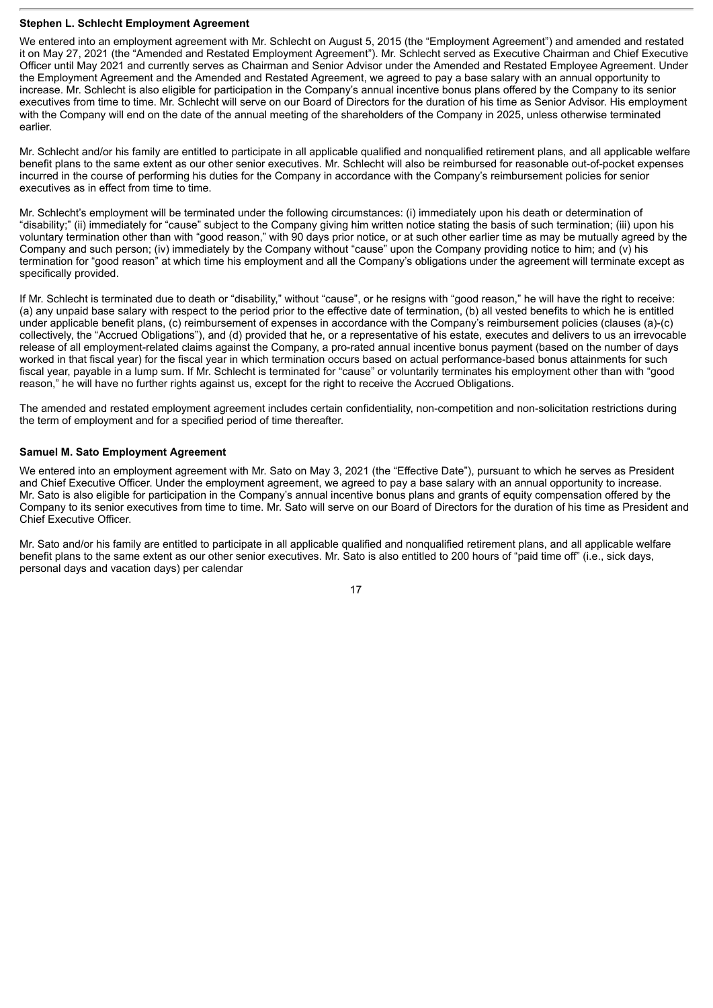#### **Stephen L. Schlecht Employment Agreement**

We entered into an employment agreement with Mr. Schlecht on August 5, 2015 (the "Employment Agreement") and amended and restated it on May 27, 2021 (the "Amended and Restated Employment Agreement"). Mr. Schlecht served as Executive Chairman and Chief Executive Officer until May 2021 and currently serves as Chairman and Senior Advisor under the Amended and Restated Employee Agreement. Under the Employment Agreement and the Amended and Restated Agreement, we agreed to pay a base salary with an annual opportunity to increase. Mr. Schlecht is also eligible for participation in the Company's annual incentive bonus plans offered by the Company to its senior executives from time to time. Mr. Schlecht will serve on our Board of Directors for the duration of his time as Senior Advisor. His employment with the Company will end on the date of the annual meeting of the shareholders of the Company in 2025, unless otherwise terminated earlier.

Mr. Schlecht and/or his family are entitled to participate in all applicable qualified and nonqualified retirement plans, and all applicable welfare benefit plans to the same extent as our other senior executives. Mr. Schlecht will also be reimbursed for reasonable out-of-pocket expenses incurred in the course of performing his duties for the Company in accordance with the Company's reimbursement policies for senior executives as in effect from time to time.

Mr. Schlecht's employment will be terminated under the following circumstances: (i) immediately upon his death or determination of "disability;" (ii) immediately for "cause" subject to the Company giving him written notice stating the basis of such termination; (iii) upon his voluntary termination other than with "good reason," with 90 days prior notice, or at such other earlier time as may be mutually agreed by the Company and such person; (iv) immediately by the Company without "cause" upon the Company providing notice to him; and (v) his termination for "good reason" at which time his employment and all the Company's obligations under the agreement will terminate except as specifically provided.

If Mr. Schlecht is terminated due to death or "disability," without "cause", or he resigns with "good reason," he will have the right to receive: (a) any unpaid base salary with respect to the period prior to the effective date of termination, (b) all vested benefits to which he is entitled under applicable benefit plans, (c) reimbursement of expenses in accordance with the Company's reimbursement policies (clauses (a)-(c) collectively, the "Accrued Obligations"), and (d) provided that he, or a representative of his estate, executes and delivers to us an irrevocable release of all employment-related claims against the Company, a pro-rated annual incentive bonus payment (based on the number of days worked in that fiscal year) for the fiscal year in which termination occurs based on actual performance-based bonus attainments for such fiscal year, payable in a lump sum. If Mr. Schlecht is terminated for "cause" or voluntarily terminates his employment other than with "good reason," he will have no further rights against us, except for the right to receive the Accrued Obligations.

The amended and restated employment agreement includes certain confidentiality, non-competition and non-solicitation restrictions during the term of employment and for a specified period of time thereafter.

#### **Samuel M. Sato Employment Agreement**

We entered into an employment agreement with Mr. Sato on May 3, 2021 (the "Effective Date"), pursuant to which he serves as President and Chief Executive Officer. Under the employment agreement, we agreed to pay a base salary with an annual opportunity to increase. Mr. Sato is also eligible for participation in the Company's annual incentive bonus plans and grants of equity compensation offered by the Company to its senior executives from time to time. Mr. Sato will serve on our Board of Directors for the duration of his time as President and Chief Executive Officer.

Mr. Sato and/or his family are entitled to participate in all applicable qualified and nonqualified retirement plans, and all applicable welfare benefit plans to the same extent as our other senior executives. Mr. Sato is also entitled to 200 hours of "paid time off" (i.e., sick days, personal days and vacation days) per calendar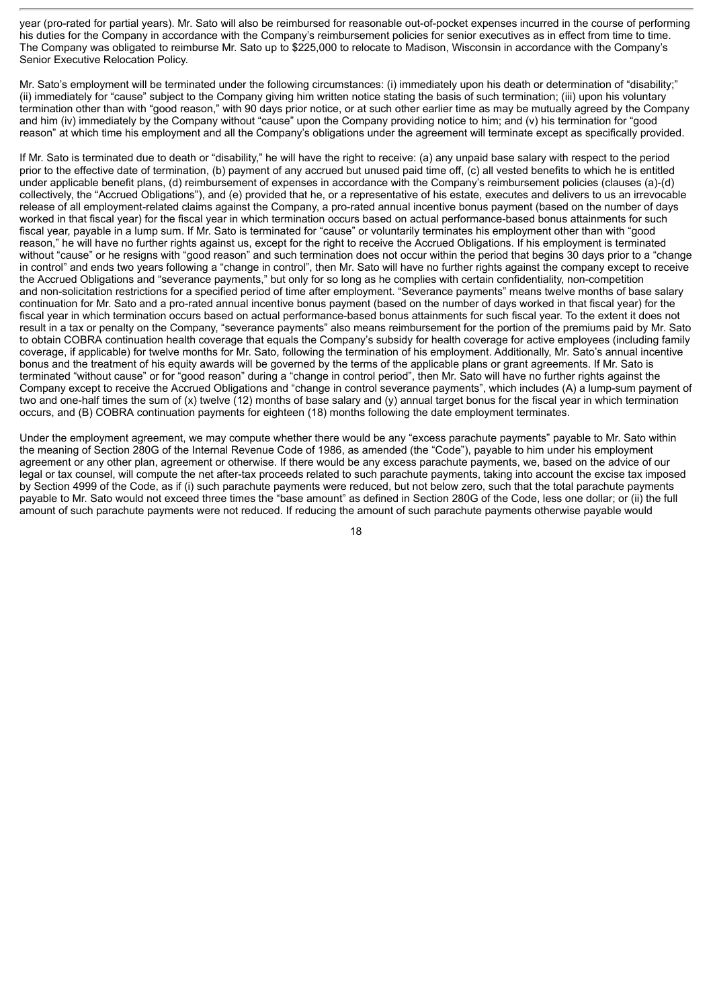year (pro-rated for partial years). Mr. Sato will also be reimbursed for reasonable out-of-pocket expenses incurred in the course of performing his duties for the Company in accordance with the Company's reimbursement policies for senior executives as in effect from time to time. The Company was obligated to reimburse Mr. Sato up to \$225,000 to relocate to Madison, Wisconsin in accordance with the Company's Senior Executive Relocation Policy.

Mr. Sato's employment will be terminated under the following circumstances: (i) immediately upon his death or determination of "disability;" (ii) immediately for "cause" subject to the Company giving him written notice stating the basis of such termination; (iii) upon his voluntary termination other than with "good reason," with 90 days prior notice, or at such other earlier time as may be mutually agreed by the Company and him (iv) immediately by the Company without "cause" upon the Company providing notice to him; and (v) his termination for "good reason" at which time his employment and all the Company's obligations under the agreement will terminate except as specifically provided.

If Mr. Sato is terminated due to death or "disability," he will have the right to receive: (a) any unpaid base salary with respect to the period prior to the effective date of termination, (b) payment of any accrued but unused paid time off, (c) all vested benefits to which he is entitled under applicable benefit plans, (d) reimbursement of expenses in accordance with the Company's reimbursement policies (clauses (a)-(d) collectively, the "Accrued Obligations"), and (e) provided that he, or a representative of his estate, executes and delivers to us an irrevocable release of all employment-related claims against the Company, a pro-rated annual incentive bonus payment (based on the number of days worked in that fiscal year) for the fiscal year in which termination occurs based on actual performance-based bonus attainments for such fiscal year, payable in a lump sum. If Mr. Sato is terminated for "cause" or voluntarily terminates his employment other than with "good reason," he will have no further rights against us, except for the right to receive the Accrued Obligations. If his employment is terminated without "cause" or he resigns with "good reason" and such termination does not occur within the period that begins 30 days prior to a "change in control" and ends two years following a "change in control", then Mr. Sato will have no further rights against the company except to receive the Accrued Obligations and "severance payments," but only for so long as he complies with certain confidentiality, non-competition and non-solicitation restrictions for a specified period of time after employment. "Severance payments" means twelve months of base salary continuation for Mr. Sato and a pro-rated annual incentive bonus payment (based on the number of days worked in that fiscal year) for the fiscal year in which termination occurs based on actual performance-based bonus attainments for such fiscal year. To the extent it does not result in a tax or penalty on the Company, "severance payments" also means reimbursement for the portion of the premiums paid by Mr. Sato to obtain COBRA continuation health coverage that equals the Company's subsidy for health coverage for active employees (including family coverage, if applicable) for twelve months for Mr. Sato, following the termination of his employment. Additionally, Mr. Sato's annual incentive bonus and the treatment of his equity awards will be governed by the terms of the applicable plans or grant agreements. If Mr. Sato is terminated "without cause" or for "good reason" during a "change in control period", then Mr. Sato will have no further rights against the Company except to receive the Accrued Obligations and "change in control severance payments", which includes (A) a lump-sum payment of two and one-half times the sum of (x) twelve (12) months of base salary and (y) annual target bonus for the fiscal year in which termination occurs, and (B) COBRA continuation payments for eighteen (18) months following the date employment terminates.

Under the employment agreement, we may compute whether there would be any "excess parachute payments" payable to Mr. Sato within the meaning of Section 280G of the Internal Revenue Code of 1986, as amended (the "Code"), payable to him under his employment agreement or any other plan, agreement or otherwise. If there would be any excess parachute payments, we, based on the advice of our legal or tax counsel, will compute the net after-tax proceeds related to such parachute payments, taking into account the excise tax imposed by Section 4999 of the Code, as if (i) such parachute payments were reduced, but not below zero, such that the total parachute payments payable to Mr. Sato would not exceed three times the "base amount" as defined in Section 280G of the Code, less one dollar; or (ii) the full amount of such parachute payments were not reduced. If reducing the amount of such parachute payments otherwise payable would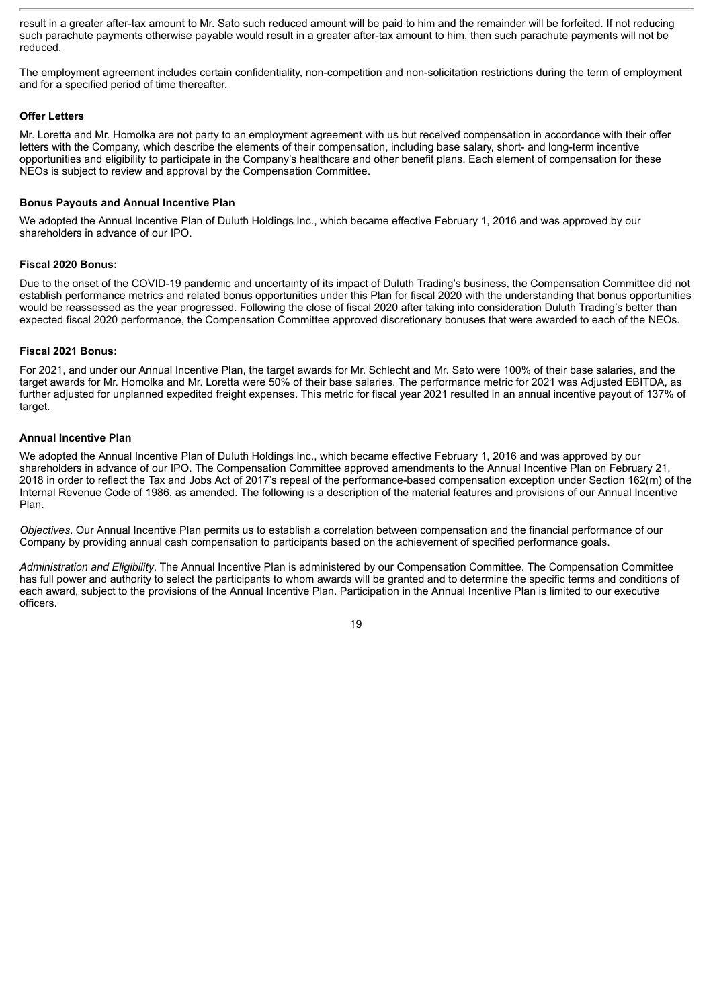result in a greater after-tax amount to Mr. Sato such reduced amount will be paid to him and the remainder will be forfeited. If not reducing such parachute payments otherwise payable would result in a greater after-tax amount to him, then such parachute payments will not be reduced.

The employment agreement includes certain confidentiality, non-competition and non-solicitation restrictions during the term of employment and for a specified period of time thereafter.

#### **Offer Letters**

Mr. Loretta and Mr. Homolka are not party to an employment agreement with us but received compensation in accordance with their offer letters with the Company, which describe the elements of their compensation, including base salary, short- and long-term incentive opportunities and eligibility to participate in the Company's healthcare and other benefit plans. Each element of compensation for these NEOs is subject to review and approval by the Compensation Committee.

#### **Bonus Payouts and Annual Incentive Plan**

We adopted the Annual Incentive Plan of Duluth Holdings Inc., which became effective February 1, 2016 and was approved by our shareholders in advance of our IPO.

#### **Fiscal 2020 Bonus:**

Due to the onset of the COVID-19 pandemic and uncertainty of its impact of Duluth Trading's business, the Compensation Committee did not establish performance metrics and related bonus opportunities under this Plan for fiscal 2020 with the understanding that bonus opportunities would be reassessed as the year progressed. Following the close of fiscal 2020 after taking into consideration Duluth Trading's better than expected fiscal 2020 performance, the Compensation Committee approved discretionary bonuses that were awarded to each of the NEOs.

#### **Fiscal 2021 Bonus:**

For 2021, and under our Annual Incentive Plan, the target awards for Mr. Schlecht and Mr. Sato were 100% of their base salaries, and the target awards for Mr. Homolka and Mr. Loretta were 50% of their base salaries. The performance metric for 2021 was Adjusted EBITDA, as further adjusted for unplanned expedited freight expenses. This metric for fiscal year 2021 resulted in an annual incentive payout of 137% of target.

#### **Annual Incentive Plan**

We adopted the Annual Incentive Plan of Duluth Holdings Inc., which became effective February 1, 2016 and was approved by our shareholders in advance of our IPO. The Compensation Committee approved amendments to the Annual Incentive Plan on February 21, 2018 in order to reflect the Tax and Jobs Act of 2017's repeal of the performance-based compensation exception under Section 162(m) of the Internal Revenue Code of 1986, as amended. The following is a description of the material features and provisions of our Annual Incentive Plan.

*Objectives*. Our Annual Incentive Plan permits us to establish a correlation between compensation and the financial performance of our Company by providing annual cash compensation to participants based on the achievement of specified performance goals.

*Administration and Eligibility*. The Annual Incentive Plan is administered by our Compensation Committee. The Compensation Committee has full power and authority to select the participants to whom awards will be granted and to determine the specific terms and conditions of each award, subject to the provisions of the Annual Incentive Plan. Participation in the Annual Incentive Plan is limited to our executive officers.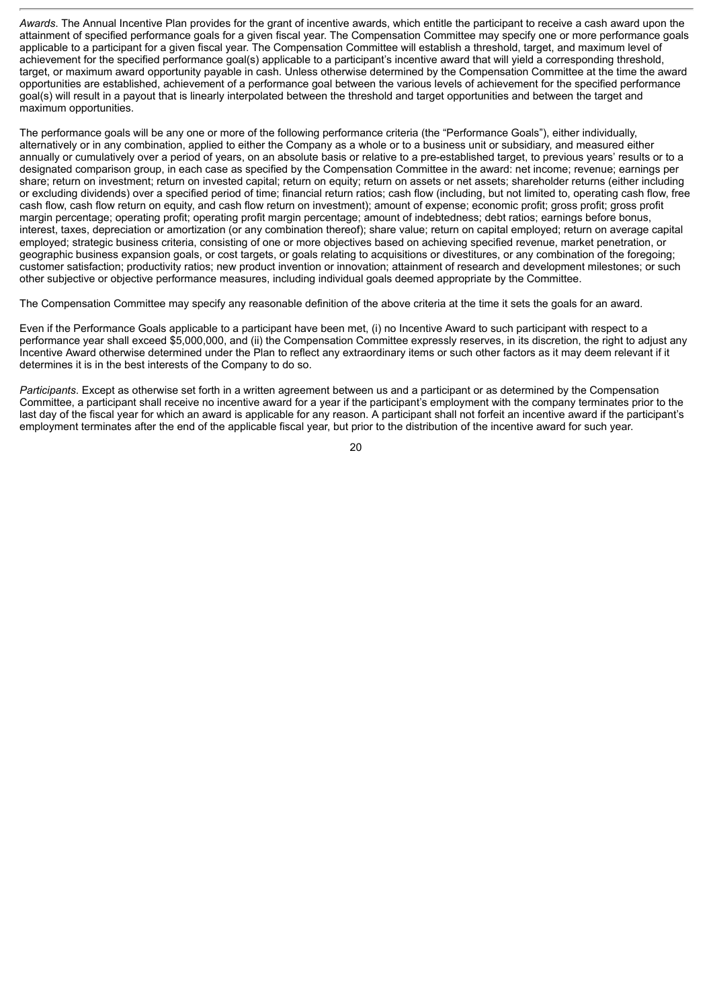*Awards*. The Annual Incentive Plan provides for the grant of incentive awards, which entitle the participant to receive a cash award upon the attainment of specified performance goals for a given fiscal year. The Compensation Committee may specify one or more performance goals applicable to a participant for a given fiscal year. The Compensation Committee will establish a threshold, target, and maximum level of achievement for the specified performance goal(s) applicable to a participant's incentive award that will yield a corresponding threshold, target, or maximum award opportunity payable in cash. Unless otherwise determined by the Compensation Committee at the time the award opportunities are established, achievement of a performance goal between the various levels of achievement for the specified performance goal(s) will result in a payout that is linearly interpolated between the threshold and target opportunities and between the target and maximum opportunities.

The performance goals will be any one or more of the following performance criteria (the "Performance Goals"), either individually, alternatively or in any combination, applied to either the Company as a whole or to a business unit or subsidiary, and measured either annually or cumulatively over a period of years, on an absolute basis or relative to a pre-established target, to previous years' results or to a designated comparison group, in each case as specified by the Compensation Committee in the award: net income; revenue; earnings per share; return on investment; return on invested capital; return on equity; return on assets or net assets; shareholder returns (either including or excluding dividends) over a specified period of time; financial return ratios; cash flow (including, but not limited to, operating cash flow, free cash flow, cash flow return on equity, and cash flow return on investment); amount of expense; economic profit; gross profit; gross profit margin percentage; operating profit; operating profit margin percentage; amount of indebtedness; debt ratios; earnings before bonus, interest, taxes, depreciation or amortization (or any combination thereof); share value; return on capital employed; return on average capital employed; strategic business criteria, consisting of one or more objectives based on achieving specified revenue, market penetration, or geographic business expansion goals, or cost targets, or goals relating to acquisitions or divestitures, or any combination of the foregoing; customer satisfaction; productivity ratios; new product invention or innovation; attainment of research and development milestones; or such other subjective or objective performance measures, including individual goals deemed appropriate by the Committee.

The Compensation Committee may specify any reasonable definition of the above criteria at the time it sets the goals for an award.

Even if the Performance Goals applicable to a participant have been met, (i) no Incentive Award to such participant with respect to a performance year shall exceed \$5,000,000, and (ii) the Compensation Committee expressly reserves, in its discretion, the right to adjust any Incentive Award otherwise determined under the Plan to reflect any extraordinary items or such other factors as it may deem relevant if it determines it is in the best interests of the Company to do so.

*Participants*. Except as otherwise set forth in a written agreement between us and a participant or as determined by the Compensation Committee, a participant shall receive no incentive award for a year if the participant's employment with the company terminates prior to the last day of the fiscal year for which an award is applicable for any reason. A participant shall not forfeit an incentive award if the participant's employment terminates after the end of the applicable fiscal year, but prior to the distribution of the incentive award for such year.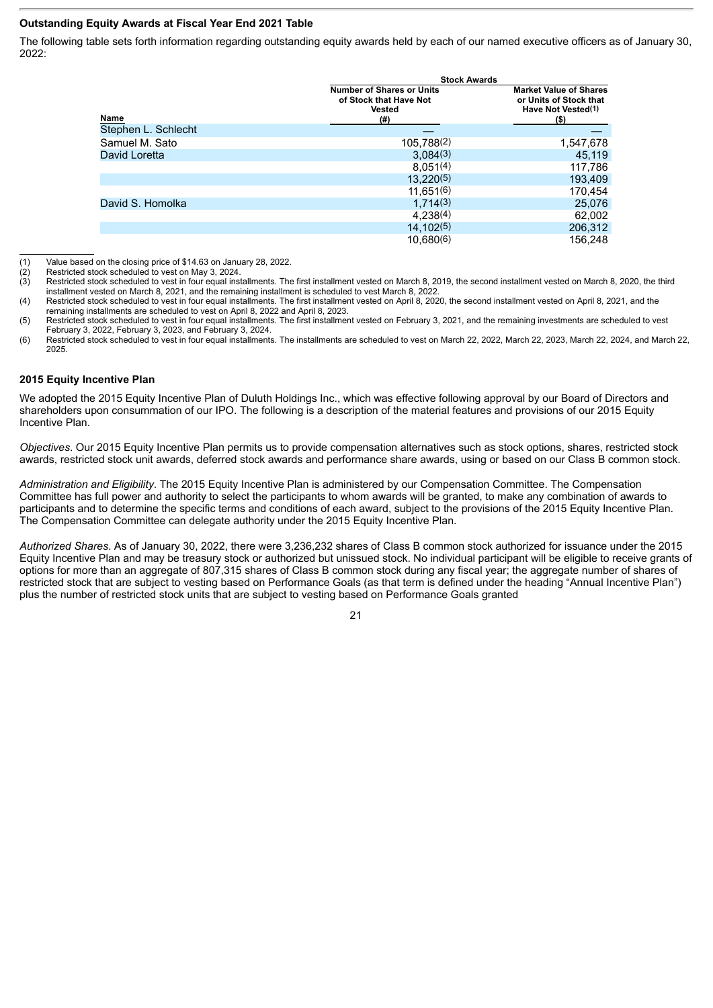#### **Outstanding Equity Awards at Fiscal Year End 2021 Table**

The following table sets forth information regarding outstanding equity awards held by each of our named executive officers as of January 30,  $2022$ 

|                     | <b>Stock Awards</b>                                                                |                                                                                          |
|---------------------|------------------------------------------------------------------------------------|------------------------------------------------------------------------------------------|
| Name                | <b>Number of Shares or Units</b><br>of Stock that Have Not<br><b>Vested</b><br>(#) | <b>Market Value of Shares</b><br>or Units of Stock that<br>Have Not Vested(1)<br>$($ \$) |
| Stephen L. Schlecht |                                                                                    |                                                                                          |
| Samuel M. Sato      | 105,788(2)                                                                         | 1,547,678                                                                                |
| David Loretta       | 3,084(3)                                                                           | 45.119                                                                                   |
|                     | 8.051(4)                                                                           | 117.786                                                                                  |
|                     | 13,220(5)                                                                          | 193,409                                                                                  |
|                     | 11,651(6)                                                                          | 170.454                                                                                  |
| David S. Homolka    | 1.714(3)                                                                           | 25.076                                                                                   |
|                     | 4,238(4)                                                                           | 62.002                                                                                   |
|                     | 14,102(5)                                                                          | 206,312                                                                                  |
|                     | 10.680(6)                                                                          | 156.248                                                                                  |

(1) Value based on the closing price of \$14.63 on January 28, 2022.

(2) Restricted stock scheduled to vest on May 3, 2024.

(3) Restricted stock scheduled to vest in four equal installments. The first installment vested on March 8, 2019, the second installment vested on March 8, 2020, the third installment vested on March 8, 2021, and the remaining installment is scheduled to vest March 8, 2022.

(4) Restricted stock scheduled to vest in four equal installments. The first installment vested on April 8, 2020, the second installment vested on April 8, 2021, and the remaining installments are scheduled to vest on April 8, 2022 and April 8, 2023.

(5) Restricted stock scheduled to vest in four equal installments. The first installment vested on February 3, 2021, and the remaining investments are scheduled to vest February 3, 2022, February 3, 2023, and February 3, 2024.

(6) Restricted stock scheduled to vest in four equal installments. The installments are scheduled to vest on March 22, 2022, March 22, 2023, March 22, 2024, and March 22, 2025.

#### **2015 Equity Incentive Plan**

We adopted the 2015 Equity Incentive Plan of Duluth Holdings Inc., which was effective following approval by our Board of Directors and shareholders upon consummation of our IPO. The following is a description of the material features and provisions of our 2015 Equity Incentive Plan.

*Objectives*. Our 2015 Equity Incentive Plan permits us to provide compensation alternatives such as stock options, shares, restricted stock awards, restricted stock unit awards, deferred stock awards and performance share awards, using or based on our Class B common stock.

*Administration and Eligibility*. The 2015 Equity Incentive Plan is administered by our Compensation Committee. The Compensation Committee has full power and authority to select the participants to whom awards will be granted, to make any combination of awards to participants and to determine the specific terms and conditions of each award, subject to the provisions of the 2015 Equity Incentive Plan. The Compensation Committee can delegate authority under the 2015 Equity Incentive Plan.

*Authorized Shares*. As of January 30, 2022, there were 3,236,232 shares of Class B common stock authorized for issuance under the 2015 Equity Incentive Plan and may be treasury stock or authorized but unissued stock. No individual participant will be eligible to receive grants of options for more than an aggregate of 807,315 shares of Class B common stock during any fiscal year; the aggregate number of shares of restricted stock that are subject to vesting based on Performance Goals (as that term is defined under the heading "Annual Incentive Plan") plus the number of restricted stock units that are subject to vesting based on Performance Goals granted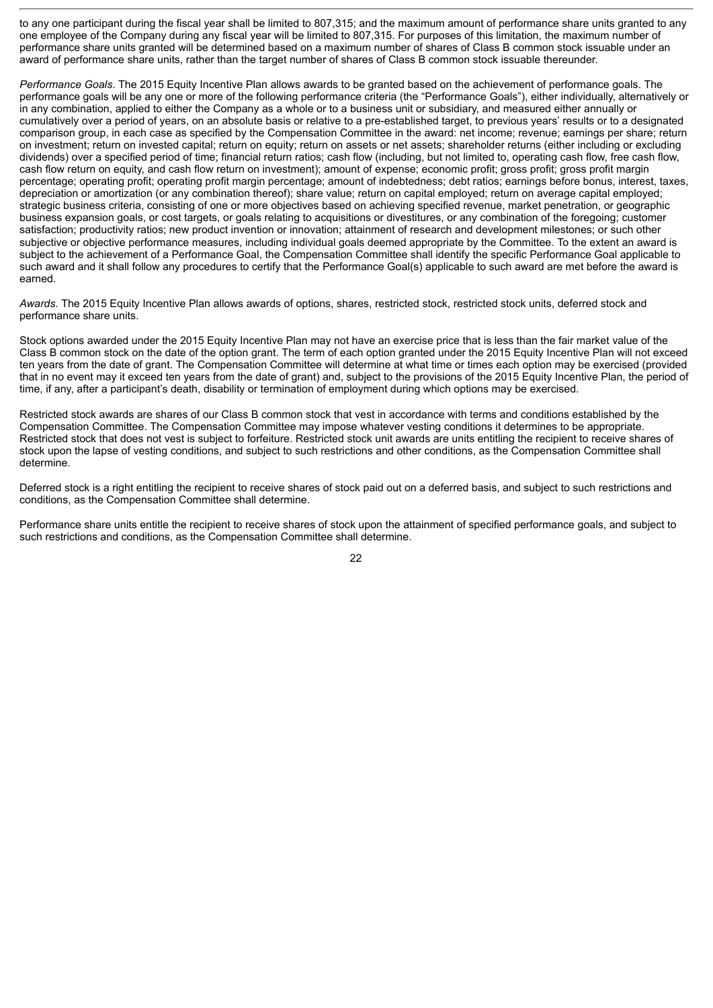to any one participant during the fiscal year shall be limited to 807,315; and the maximum amount of performance share units granted to any one employee of the Company during any fiscal year will be limited to 807,315. For purposes of this limitation, the maximum number of performance share units granted will be determined based on a maximum number of shares of Class B common stock issuable under an award of performance share units, rather than the target number of shares of Class B common stock issuable thereunder.

*Performance Goals*. The 2015 Equity Incentive Plan allows awards to be granted based on the achievement of performance goals. The performance goals will be any one or more of the following performance criteria (the "Performance Goals"), either individually, alternatively or in any combination, applied to either the Company as a whole or to a business unit or subsidiary, and measured either annually or cumulatively over a period of years, on an absolute basis or relative to a pre-established target, to previous years' results or to a designated comparison group, in each case as specified by the Compensation Committee in the award: net income; revenue; earnings per share; return on investment; return on invested capital; return on equity; return on assets or net assets; shareholder returns (either including or excluding dividends) over a specified period of time; financial return ratios; cash flow (including, but not limited to, operating cash flow, free cash flow, cash flow return on equity, and cash flow return on investment); amount of expense; economic profit; gross profit; gross profit margin percentage; operating profit; operating profit margin percentage; amount of indebtedness; debt ratios; earnings before bonus, interest, taxes, depreciation or amortization (or any combination thereof); share value; return on capital employed; return on average capital employed; strategic business criteria, consisting of one or more objectives based on achieving specified revenue, market penetration, or geographic business expansion goals, or cost targets, or goals relating to acquisitions or divestitures, or any combination of the foregoing; customer satisfaction; productivity ratios; new product invention or innovation; attainment of research and development milestones; or such other subjective or objective performance measures, including individual goals deemed appropriate by the Committee. To the extent an award is subject to the achievement of a Performance Goal, the Compensation Committee shall identify the specific Performance Goal applicable to such award and it shall follow any procedures to certify that the Performance Goal(s) applicable to such award are met before the award is earned.

*Awards*. The 2015 Equity Incentive Plan allows awards of options, shares, restricted stock, restricted stock units, deferred stock and performance share units.

Stock options awarded under the 2015 Equity Incentive Plan may not have an exercise price that is less than the fair market value of the Class B common stock on the date of the option grant. The term of each option granted under the 2015 Equity Incentive Plan will not exceed ten years from the date of grant. The Compensation Committee will determine at what time or times each option may be exercised (provided that in no event may it exceed ten years from the date of grant) and, subject to the provisions of the 2015 Equity Incentive Plan, the period of time, if any, after a participant's death, disability or termination of employment during which options may be exercised.

Restricted stock awards are shares of our Class B common stock that vest in accordance with terms and conditions established by the Compensation Committee. The Compensation Committee may impose whatever vesting conditions it determines to be appropriate. Restricted stock that does not vest is subject to forfeiture. Restricted stock unit awards are units entitling the recipient to receive shares of stock upon the lapse of vesting conditions, and subject to such restrictions and other conditions, as the Compensation Committee shall determine.

Deferred stock is a right entitling the recipient to receive shares of stock paid out on a deferred basis, and subject to such restrictions and conditions, as the Compensation Committee shall determine.

Performance share units entitle the recipient to receive shares of stock upon the attainment of specified performance goals, and subject to such restrictions and conditions, as the Compensation Committee shall determine.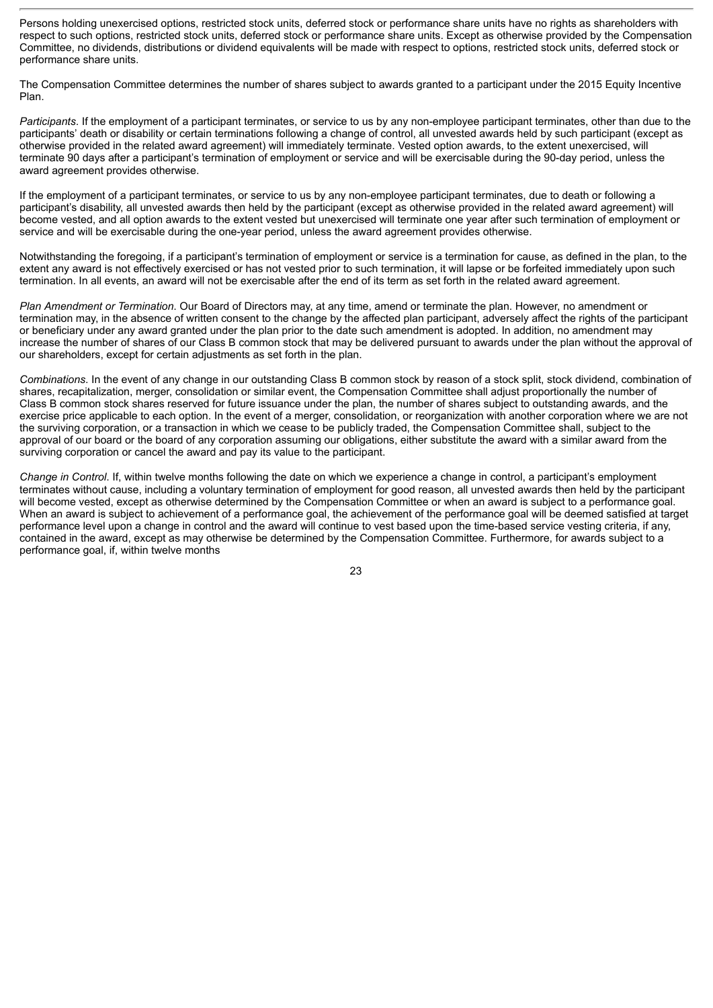Persons holding unexercised options, restricted stock units, deferred stock or performance share units have no rights as shareholders with respect to such options, restricted stock units, deferred stock or performance share units. Except as otherwise provided by the Compensation Committee, no dividends, distributions or dividend equivalents will be made with respect to options, restricted stock units, deferred stock or performance share units.

The Compensation Committee determines the number of shares subject to awards granted to a participant under the 2015 Equity Incentive Plan.

*Participants*. If the employment of a participant terminates, or service to us by any non-employee participant terminates, other than due to the participants' death or disability or certain terminations following a change of control, all unvested awards held by such participant (except as otherwise provided in the related award agreement) will immediately terminate. Vested option awards, to the extent unexercised, will terminate 90 days after a participant's termination of employment or service and will be exercisable during the 90-day period, unless the award agreement provides otherwise.

If the employment of a participant terminates, or service to us by any non-employee participant terminates, due to death or following a participant's disability, all unvested awards then held by the participant (except as otherwise provided in the related award agreement) will become vested, and all option awards to the extent vested but unexercised will terminate one year after such termination of employment or service and will be exercisable during the one-year period, unless the award agreement provides otherwise.

Notwithstanding the foregoing, if a participant's termination of employment or service is a termination for cause, as defined in the plan, to the extent any award is not effectively exercised or has not vested prior to such termination, it will lapse or be forfeited immediately upon such termination. In all events, an award will not be exercisable after the end of its term as set forth in the related award agreement.

*Plan Amendment or Termination*. Our Board of Directors may, at any time, amend or terminate the plan. However, no amendment or termination may, in the absence of written consent to the change by the affected plan participant, adversely affect the rights of the participant or beneficiary under any award granted under the plan prior to the date such amendment is adopted. In addition, no amendment may increase the number of shares of our Class B common stock that may be delivered pursuant to awards under the plan without the approval of our shareholders, except for certain adjustments as set forth in the plan.

*Combinations*. In the event of any change in our outstanding Class B common stock by reason of a stock split, stock dividend, combination of shares, recapitalization, merger, consolidation or similar event, the Compensation Committee shall adjust proportionally the number of Class B common stock shares reserved for future issuance under the plan, the number of shares subject to outstanding awards, and the exercise price applicable to each option. In the event of a merger, consolidation, or reorganization with another corporation where we are not the surviving corporation, or a transaction in which we cease to be publicly traded, the Compensation Committee shall, subject to the approval of our board or the board of any corporation assuming our obligations, either substitute the award with a similar award from the surviving corporation or cancel the award and pay its value to the participant.

*Change in Control*. If, within twelve months following the date on which we experience a change in control, a participant's employment terminates without cause, including a voluntary termination of employment for good reason, all unvested awards then held by the participant will become vested, except as otherwise determined by the Compensation Committee or when an award is subject to a performance goal. When an award is subject to achievement of a performance goal, the achievement of the performance goal will be deemed satisfied at target performance level upon a change in control and the award will continue to vest based upon the time-based service vesting criteria, if any, contained in the award, except as may otherwise be determined by the Compensation Committee. Furthermore, for awards subject to a performance goal, if, within twelve months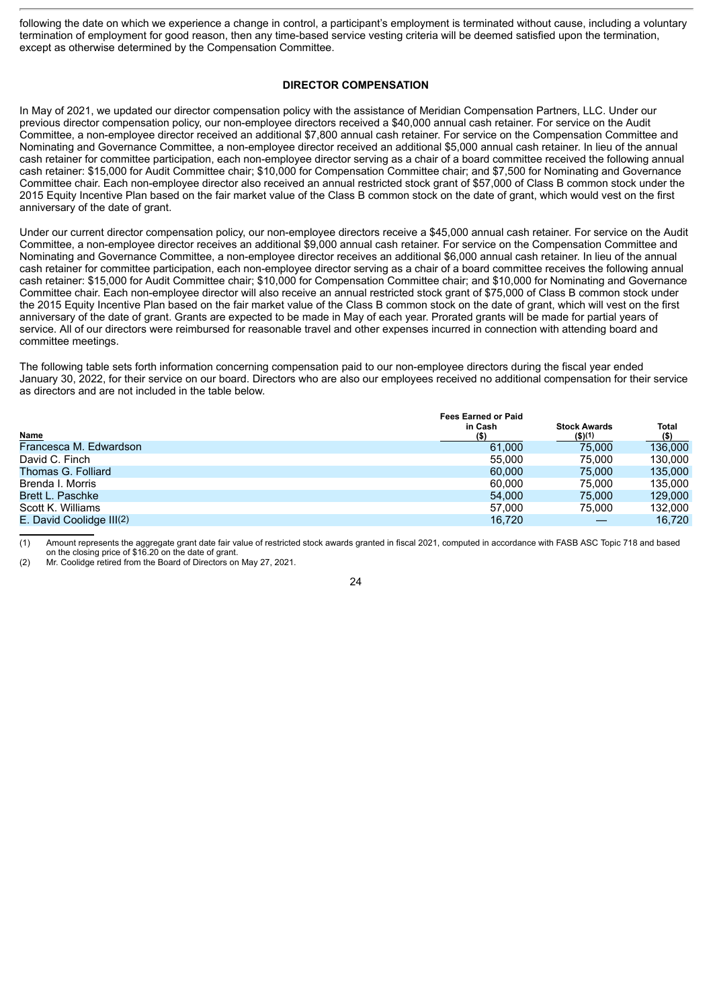following the date on which we experience a change in control, a participant's employment is terminated without cause, including a voluntary termination of employment for good reason, then any time-based service vesting criteria will be deemed satisfied upon the termination, except as otherwise determined by the Compensation Committee.

#### **DIRECTOR COMPENSATION**

In May of 2021, we updated our director compensation policy with the assistance of Meridian Compensation Partners, LLC. Under our previous director compensation policy, our non-employee directors received a \$40,000 annual cash retainer. For service on the Audit Committee, a non-employee director received an additional \$7,800 annual cash retainer. For service on the Compensation Committee and Nominating and Governance Committee, a non-employee director received an additional \$5,000 annual cash retainer. In lieu of the annual cash retainer for committee participation, each non-employee director serving as a chair of a board committee received the following annual cash retainer: \$15,000 for Audit Committee chair; \$10,000 for Compensation Committee chair; and \$7,500 for Nominating and Governance Committee chair. Each non-employee director also received an annual restricted stock grant of \$57,000 of Class B common stock under the 2015 Equity Incentive Plan based on the fair market value of the Class B common stock on the date of grant, which would vest on the first anniversary of the date of grant.

Under our current director compensation policy, our non-employee directors receive a \$45,000 annual cash retainer. For service on the Audit Committee, a non-employee director receives an additional \$9,000 annual cash retainer. For service on the Compensation Committee and Nominating and Governance Committee, a non-employee director receives an additional \$6,000 annual cash retainer. In lieu of the annual cash retainer for committee participation, each non-employee director serving as a chair of a board committee receives the following annual cash retainer: \$15,000 for Audit Committee chair; \$10,000 for Compensation Committee chair; and \$10,000 for Nominating and Governance Committee chair. Each non-employee director will also receive an annual restricted stock grant of \$75,000 of Class B common stock under the 2015 Equity Incentive Plan based on the fair market value of the Class B common stock on the date of grant, which will vest on the first anniversary of the date of grant. Grants are expected to be made in May of each year. Prorated grants will be made for partial years of service. All of our directors were reimbursed for reasonable travel and other expenses incurred in connection with attending board and committee meetings.

The following table sets forth information concerning compensation paid to our non-employee directors during the fiscal year ended January 30, 2022, for their service on our board. Directors who are also our employees received no additional compensation for their service as directors and are not included in the table below.

| Name                     | <b>Fees Earned or Paid</b><br>in Cash<br>$($ \$) | <b>Stock Awards</b><br>$($ \$)(1) | Total<br>$($ \$) |
|--------------------------|--------------------------------------------------|-----------------------------------|------------------|
| Francesca M. Edwardson   | 61.000                                           | 75,000                            | 136,000          |
| David C. Finch           | 55,000                                           | 75.000                            | 130.000          |
| Thomas G. Folliard       | 60,000                                           | 75,000                            | 135,000          |
| Brenda I. Morris         | 60.000                                           | 75.000                            | 135.000          |
| Brett L. Paschke         | 54,000                                           | 75,000                            | 129,000          |
| Scott K. Williams        | 57.000                                           | 75.000                            | 132,000          |
| E. David Coolidge III(2) | 16,720                                           |                                   | 16,720           |
|                          |                                                  |                                   |                  |

(1) Amount represents the aggregate grant date fair value of restricted stock awards granted in fiscal 2021, computed in accordance with FASB ASC Topic 718 and based on the closing price of \$16.20 on the date of grant.

(2) Mr. Coolidge retired from the Board of Directors on May 27, 2021.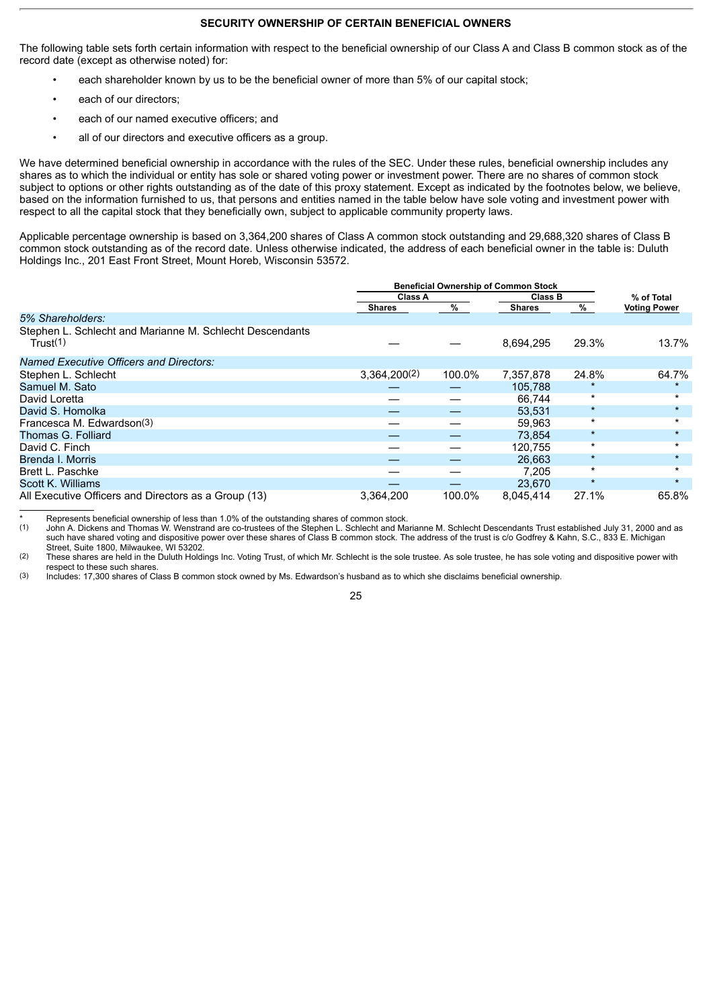#### **SECURITY OWNERSHIP OF CERTAIN BENEFICIAL OWNERS**

The following table sets forth certain information with respect to the beneficial ownership of our Class A and Class B common stock as of the record date (except as otherwise noted) for:

- each shareholder known by us to be the beneficial owner of more than 5% of our capital stock;
- each of our directors;
- each of our named executive officers; and
- all of our directors and executive officers as a group.

We have determined beneficial ownership in accordance with the rules of the SEC. Under these rules, beneficial ownership includes any shares as to which the individual or entity has sole or shared voting power or investment power. There are no shares of common stock subject to options or other rights outstanding as of the date of this proxy statement. Except as indicated by the footnotes below, we believe, based on the information furnished to us, that persons and entities named in the table below have sole voting and investment power with respect to all the capital stock that they beneficially own, subject to applicable community property laws.

Applicable percentage ownership is based on 3,364,200 shares of Class A common stock outstanding and 29,688,320 shares of Class B common stock outstanding as of the record date. Unless otherwise indicated, the address of each beneficial owner in the table is: Duluth Holdings Inc., 201 East Front Street, Mount Horeb, Wisconsin 53572.

|                                                                      |                |        | <b>Beneficial Ownership of Common Stock</b> |         |                     |
|----------------------------------------------------------------------|----------------|--------|---------------------------------------------|---------|---------------------|
|                                                                      | <b>Class A</b> |        | <b>Class B</b>                              |         | % of Total          |
|                                                                      | <b>Shares</b>  | %      | <b>Shares</b>                               | %       | <b>Voting Power</b> |
| 5% Shareholders:                                                     |                |        |                                             |         |                     |
| Stephen L. Schlecht and Marianne M. Schlecht Descendants<br>Trust(1) |                |        | 8,694,295                                   | 29.3%   | 13.7%               |
| <b>Named Executive Officers and Directors:</b>                       |                |        |                                             |         |                     |
| Stephen L. Schlecht                                                  | 3,364,200(2)   | 100.0% | 7,357,878                                   | 24.8%   | 64.7%               |
| Samuel M. Sato                                                       |                |        | 105,788                                     |         |                     |
| David Loretta                                                        |                |        | 66.744                                      | $\star$ |                     |
| David S. Homolka                                                     |                |        | 53,531                                      | $\star$ |                     |
| Francesca M. Edwardson(3)                                            |                |        | 59,963                                      | $\star$ |                     |
| Thomas G. Folliard                                                   |                |        | 73.854                                      | $\star$ |                     |
| David C. Finch                                                       |                |        | 120.755                                     | $\star$ |                     |
| Brenda I. Morris                                                     |                |        | 26.663                                      | $\star$ |                     |
| Brett L. Paschke                                                     |                |        | 7.205                                       | $\star$ | *                   |
| Scott K. Williams                                                    |                |        | 23.670                                      | $\star$ | $\star$             |
| All Executive Officers and Directors as a Group (13)                 | 3.364.200      | 100.0% | 8.045.414                                   | 27.1%   | 65.8%               |

\* Represents beneficial ownership of less than 1.0% of the outstanding shares of common stock.<br>(1) John A. Dickens and Thomas W. Wenstrand are co-trustees of the Stephen L. Schlecht and Ma

John A. Dickens and Thomas W. Wenstrand are co-trustees of the Stephen L. Schlecht and Marianne M. Schlecht Descendants Trust established July 31, 2000 and as such have shared voting and dispositive power over these shares of Class B common stock. The address of the trust is c/o Godfrey & Kahn, S.C., 833 E. Michigan Street, Suite 1800, Milwaukee, WI 53202.

(2) These shares are held in the Duluth Holdings Inc. Voting Trust, of which Mr. Schlecht is the sole trustee. As sole trustee, he has sole voting and dispositive power with respect to these such shares.

(3) Includes: 17,300 shares of Class B common stock owned by Ms. Edwardson's husband as to which she disclaims beneficial ownership.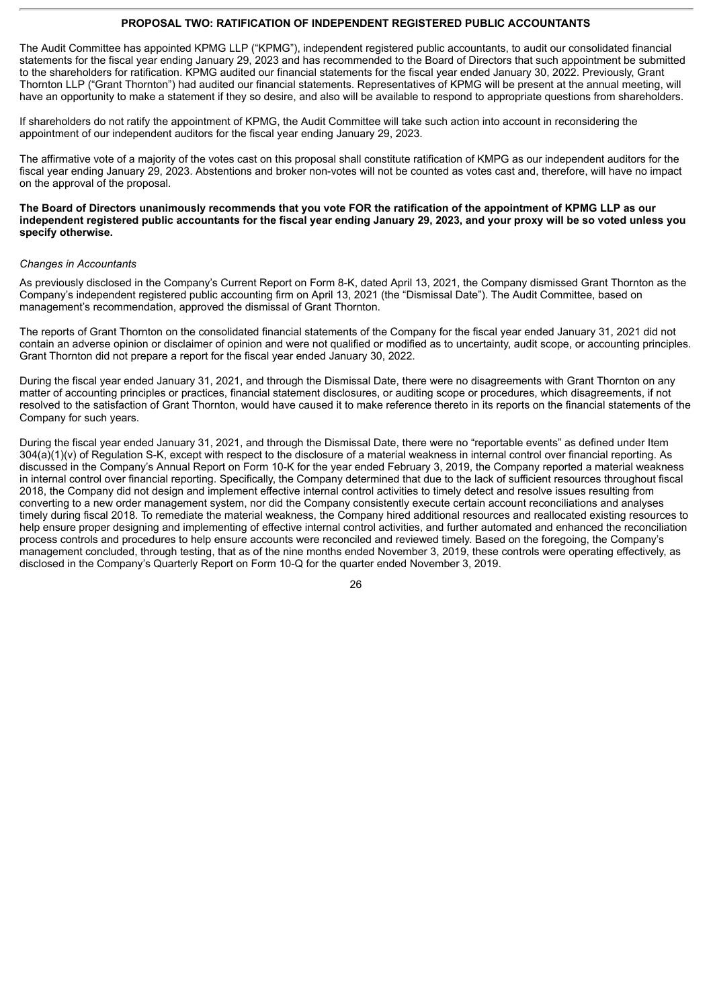#### **PROPOSAL TWO: RATIFICATION OF INDEPENDENT REGISTERED PUBLIC ACCOUNTANTS**

The Audit Committee has appointed KPMG LLP ("KPMG"), independent registered public accountants, to audit our consolidated financial statements for the fiscal year ending January 29, 2023 and has recommended to the Board of Directors that such appointment be submitted to the shareholders for ratification. KPMG audited our financial statements for the fiscal year ended January 30, 2022. Previously, Grant Thornton LLP ("Grant Thornton") had audited our financial statements. Representatives of KPMG will be present at the annual meeting, will have an opportunity to make a statement if they so desire, and also will be available to respond to appropriate questions from shareholders.

If shareholders do not ratify the appointment of KPMG, the Audit Committee will take such action into account in reconsidering the appointment of our independent auditors for the fiscal year ending January 29, 2023.

The affirmative vote of a majority of the votes cast on this proposal shall constitute ratification of KMPG as our independent auditors for the fiscal year ending January 29, 2023. Abstentions and broker non-votes will not be counted as votes cast and, therefore, will have no impact on the approval of the proposal.

The Board of Directors unanimously recommends that you vote FOR the ratification of the appointment of KPMG LLP as our independent registered public accountants for the fiscal year ending January 29, 2023, and your proxy will be so voted unless you **specify otherwise.**

#### *Changes in Accountants*

As previously disclosed in the Company's Current Report on Form 8-K, dated April 13, 2021, the Company dismissed Grant Thornton as the Company's independent registered public accounting firm on April 13, 2021 (the "Dismissal Date"). The Audit Committee, based on management's recommendation, approved the dismissal of Grant Thornton.

The reports of Grant Thornton on the consolidated financial statements of the Company for the fiscal year ended January 31, 2021 did not contain an adverse opinion or disclaimer of opinion and were not qualified or modified as to uncertainty, audit scope, or accounting principles. Grant Thornton did not prepare a report for the fiscal year ended January 30, 2022.

During the fiscal year ended January 31, 2021, and through the Dismissal Date, there were no disagreements with Grant Thornton on any matter of accounting principles or practices, financial statement disclosures, or auditing scope or procedures, which disagreements, if not resolved to the satisfaction of Grant Thornton, would have caused it to make reference thereto in its reports on the financial statements of the Company for such years.

During the fiscal year ended January 31, 2021, and through the Dismissal Date, there were no "reportable events" as defined under Item 304(a)(1)(v) of Regulation S-K, except with respect to the disclosure of a material weakness in internal control over financial reporting. As discussed in the Company's Annual Report on Form 10-K for the year ended February 3, 2019, the Company reported a material weakness in internal control over financial reporting. Specifically, the Company determined that due to the lack of sufficient resources throughout fiscal 2018, the Company did not design and implement effective internal control activities to timely detect and resolve issues resulting from converting to a new order management system, nor did the Company consistently execute certain account reconciliations and analyses timely during fiscal 2018. To remediate the material weakness, the Company hired additional resources and reallocated existing resources to help ensure proper designing and implementing of effective internal control activities, and further automated and enhanced the reconciliation process controls and procedures to help ensure accounts were reconciled and reviewed timely. Based on the foregoing, the Company's management concluded, through testing, that as of the nine months ended November 3, 2019, these controls were operating effectively, as disclosed in the Company's Quarterly Report on Form 10-Q for the quarter ended November 3, 2019.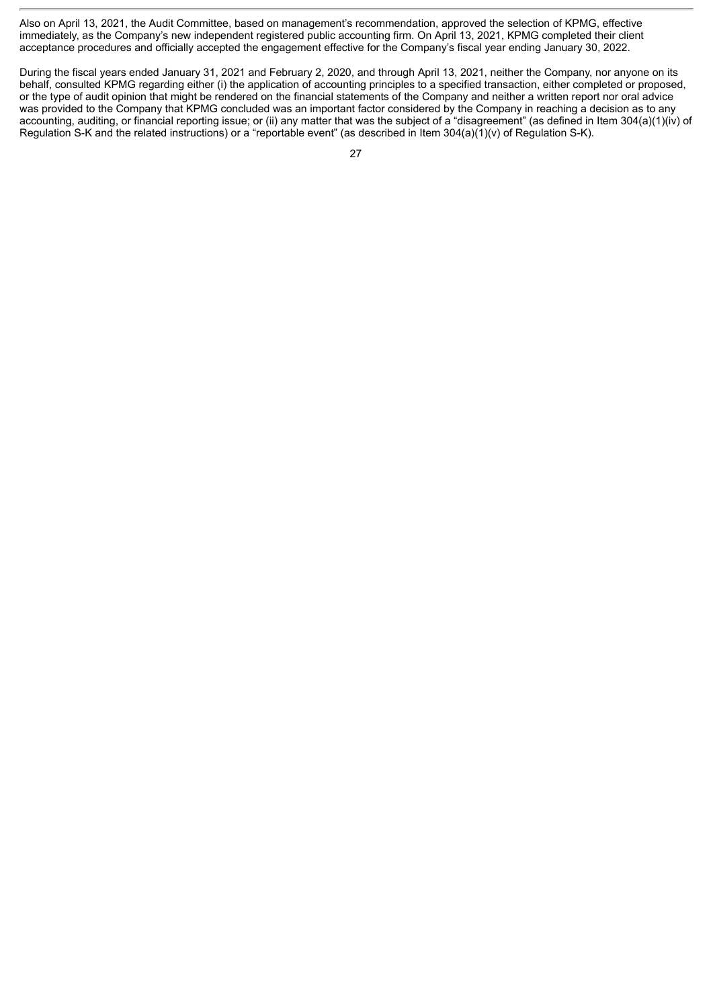Also on April 13, 2021, the Audit Committee, based on management's recommendation, approved the selection of KPMG, effective immediately, as the Company's new independent registered public accounting firm. On April 13, 2021, KPMG completed their client acceptance procedures and officially accepted the engagement effective for the Company's fiscal year ending January 30, 2022.

During the fiscal years ended January 31, 2021 and February 2, 2020, and through April 13, 2021, neither the Company, nor anyone on its behalf, consulted KPMG regarding either (i) the application of accounting principles to a specified transaction, either completed or proposed, or the type of audit opinion that might be rendered on the financial statements of the Company and neither a written report nor oral advice was provided to the Company that KPMG concluded was an important factor considered by the Company in reaching a decision as to any accounting, auditing, or financial reporting issue; or (ii) any matter that was the subject of a "disagreement" (as defined in Item 304(a)(1)(iv) of Regulation S-K and the related instructions) or a "reportable event" (as described in Item 304(a)(1)(v) of Regulation S-K).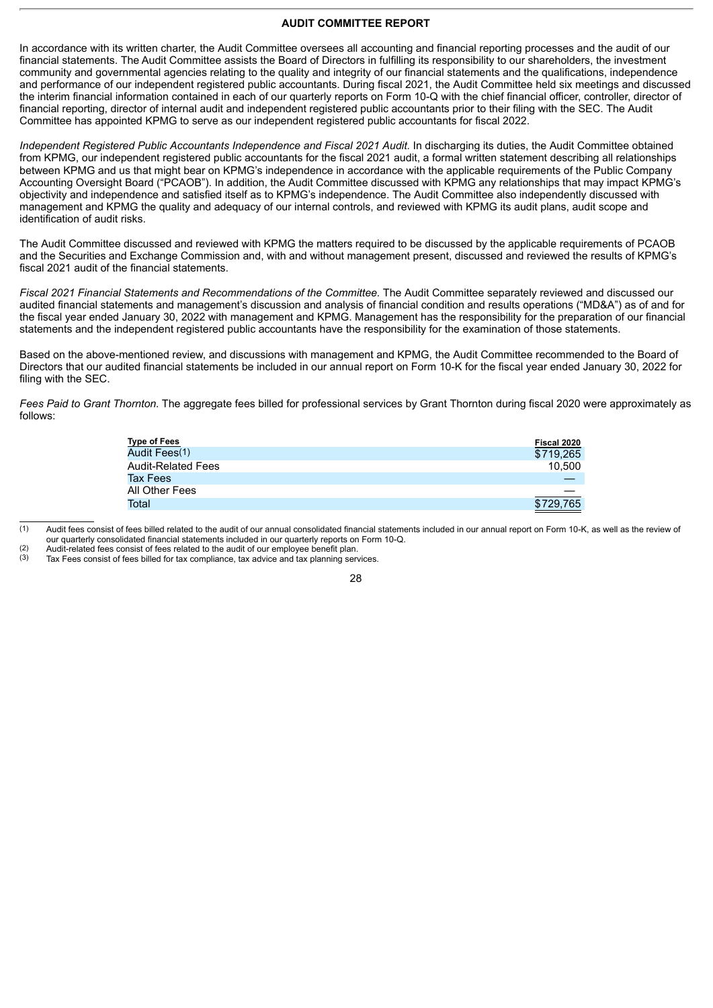#### **AUDIT COMMITTEE REPORT**

In accordance with its written charter, the Audit Committee oversees all accounting and financial reporting processes and the audit of our financial statements. The Audit Committee assists the Board of Directors in fulfilling its responsibility to our shareholders, the investment community and governmental agencies relating to the quality and integrity of our financial statements and the qualifications, independence and performance of our independent registered public accountants. During fiscal 2021, the Audit Committee held six meetings and discussed the interim financial information contained in each of our quarterly reports on Form 10-Q with the chief financial officer, controller, director of financial reporting, director of internal audit and independent registered public accountants prior to their filing with the SEC. The Audit Committee has appointed KPMG to serve as our independent registered public accountants for fiscal 2022.

*Independent Registered Public Accountants Independence and Fiscal 2021 Audit.* In discharging its duties, the Audit Committee obtained from KPMG, our independent registered public accountants for the fiscal 2021 audit, a formal written statement describing all relationships between KPMG and us that might bear on KPMG's independence in accordance with the applicable requirements of the Public Company Accounting Oversight Board ("PCAOB"). In addition, the Audit Committee discussed with KPMG any relationships that may impact KPMG's objectivity and independence and satisfied itself as to KPMG's independence. The Audit Committee also independently discussed with management and KPMG the quality and adequacy of our internal controls, and reviewed with KPMG its audit plans, audit scope and identification of audit risks.

The Audit Committee discussed and reviewed with KPMG the matters required to be discussed by the applicable requirements of PCAOB and the Securities and Exchange Commission and, with and without management present, discussed and reviewed the results of KPMG's fiscal 2021 audit of the financial statements.

*Fiscal 2021 Financial Statements and Recommendations of the Committee.* The Audit Committee separately reviewed and discussed our audited financial statements and management's discussion and analysis of financial condition and results operations ("MD&A") as of and for the fiscal year ended January 30, 2022 with management and KPMG. Management has the responsibility for the preparation of our financial statements and the independent registered public accountants have the responsibility for the examination of those statements.

Based on the above-mentioned review, and discussions with management and KPMG, the Audit Committee recommended to the Board of Directors that our audited financial statements be included in our annual report on Form 10-K for the fiscal year ended January 30, 2022 for filing with the SEC.

*Fees Paid to Grant Thornton.* The aggregate fees billed for professional services by Grant Thornton during fiscal 2020 were approximately as follows:

| Fiscal 2020 |
|-------------|
| \$719.265   |
| 10.500      |
|             |
|             |
| \$729,765   |
|             |

<sup>(1)</sup> Audit fees consist of fees billed related to the audit of our annual consolidated financial statements included in our annual report on Form 10-K, as well as the review of our quarterly consolidated financial statements included in our quarterly reports on Form 10-Q.

Figure 2.1 Audit-related fees consist of fees related to the audit of our employee benefit plan.<br>
(3) Tax Fees consist of fees billed for tax compliance tax advice and tax planning server

Tax Fees consist of fees billed for tax compliance, tax advice and tax planning services.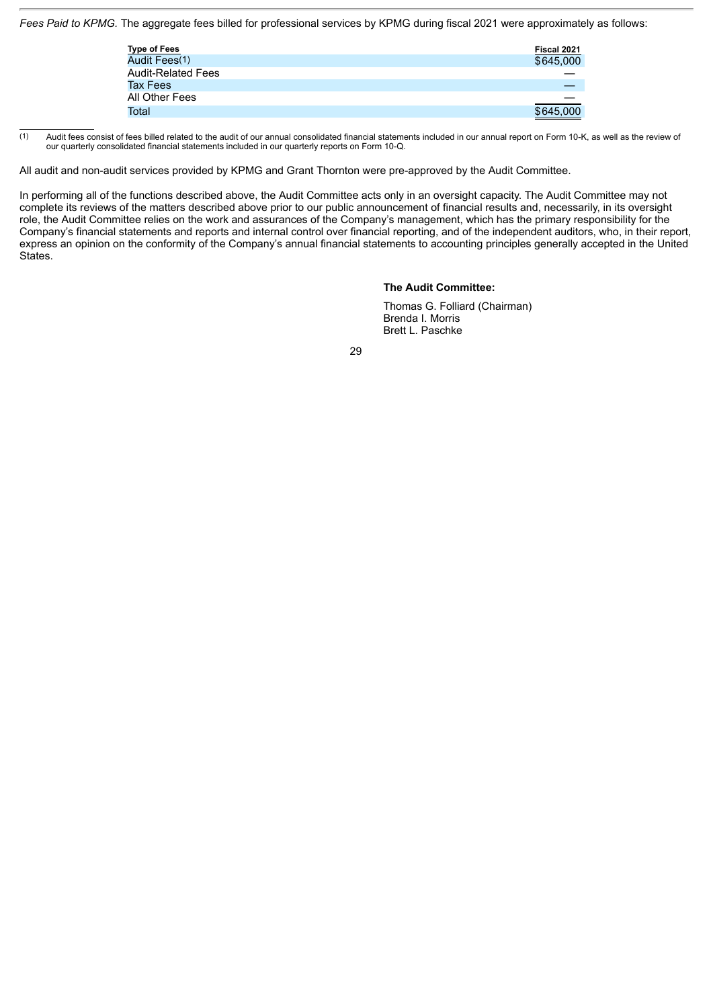*Fees Paid to KPMG.* The aggregate fees billed for professional services by KPMG during fiscal 2021 were approximately as follows:

| <b>Type of Fees</b>       | Fiscal 2021 |
|---------------------------|-------------|
| Audit Fees(1)             | \$645,000   |
| <b>Audit-Related Fees</b> |             |
| Tax Fees                  |             |
| All Other Fees            |             |
| Total                     | \$645,000   |

 $(1)$  Audit fees consist of fees billed related to the audit of our annual consolidated financial statements included in our annual report on Form 10-K, as well as the review of our quarterly consolidated financial statements included in our quarterly reports on Form 10-Q.

All audit and non-audit services provided by KPMG and Grant Thornton were pre-approved by the Audit Committee.

In performing all of the functions described above, the Audit Committee acts only in an oversight capacity. The Audit Committee may not complete its reviews of the matters described above prior to our public announcement of financial results and, necessarily, in its oversight role, the Audit Committee relies on the work and assurances of the Company's management, which has the primary responsibility for the Company's financial statements and reports and internal control over financial reporting, and of the independent auditors, who, in their report, express an opinion on the conformity of the Company's annual financial statements to accounting principles generally accepted in the United States.

#### **The Audit Committee:**

Thomas G. Folliard (Chairman) Brenda I. Morris Brett L. Paschke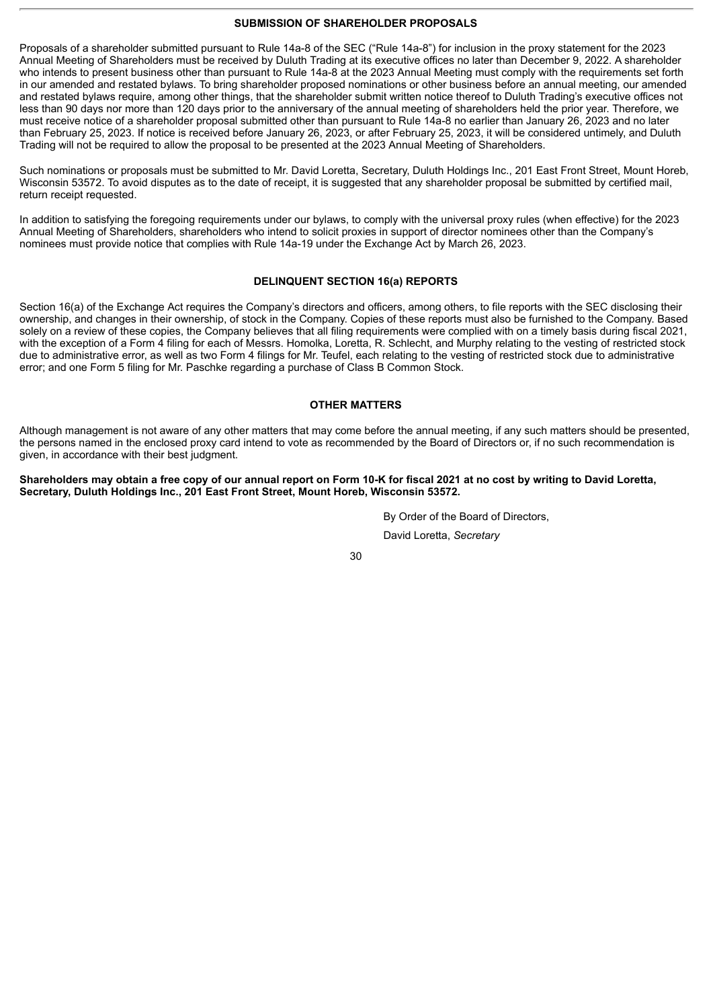#### **SUBMISSION OF SHAREHOLDER PROPOSALS**

Proposals of a shareholder submitted pursuant to Rule 14a-8 of the SEC ("Rule 14a-8") for inclusion in the proxy statement for the 2023 Annual Meeting of Shareholders must be received by Duluth Trading at its executive offices no later than December 9, 2022. A shareholder who intends to present business other than pursuant to Rule 14a-8 at the 2023 Annual Meeting must comply with the requirements set forth in our amended and restated bylaws. To bring shareholder proposed nominations or other business before an annual meeting, our amended and restated bylaws require, among other things, that the shareholder submit written notice thereof to Duluth Trading's executive offices not less than 90 days nor more than 120 days prior to the anniversary of the annual meeting of shareholders held the prior year. Therefore, we must receive notice of a shareholder proposal submitted other than pursuant to Rule 14a-8 no earlier than January 26, 2023 and no later than February 25, 2023. If notice is received before January 26, 2023, or after February 25, 2023, it will be considered untimely, and Duluth Trading will not be required to allow the proposal to be presented at the 2023 Annual Meeting of Shareholders.

Such nominations or proposals must be submitted to Mr. David Loretta, Secretary, Duluth Holdings Inc., 201 East Front Street, Mount Horeb, Wisconsin 53572. To avoid disputes as to the date of receipt, it is suggested that any shareholder proposal be submitted by certified mail. return receipt requested.

In addition to satisfying the foregoing requirements under our bylaws, to comply with the universal proxy rules (when effective) for the 2023 Annual Meeting of Shareholders, shareholders who intend to solicit proxies in support of director nominees other than the Company's nominees must provide notice that complies with Rule 14a-19 under the Exchange Act by March 26, 2023.

#### **DELINQUENT SECTION 16(a) REPORTS**

Section 16(a) of the Exchange Act requires the Company's directors and officers, among others, to file reports with the SEC disclosing their ownership, and changes in their ownership, of stock in the Company. Copies of these reports must also be furnished to the Company. Based solely on a review of these copies, the Company believes that all filing requirements were complied with on a timely basis during fiscal 2021, with the exception of a Form 4 filing for each of Messrs. Homolka, Loretta, R. Schlecht, and Murphy relating to the vesting of restricted stock due to administrative error, as well as two Form 4 filings for Mr. Teufel, each relating to the vesting of restricted stock due to administrative error; and one Form 5 filing for Mr. Paschke regarding a purchase of Class B Common Stock.

#### **OTHER MATTERS**

Although management is not aware of any other matters that may come before the annual meeting, if any such matters should be presented, the persons named in the enclosed proxy card intend to vote as recommended by the Board of Directors or, if no such recommendation is given, in accordance with their best judgment.

Shareholders may obtain a free copy of our annual report on Form 10-K for fiscal 2021 at no cost by writing to David Loretta, **Secretary, Duluth Holdings Inc., 201 East Front Street, Mount Horeb, Wisconsin 53572.**

> By Order of the Board of Directors, David Loretta, *Secretary*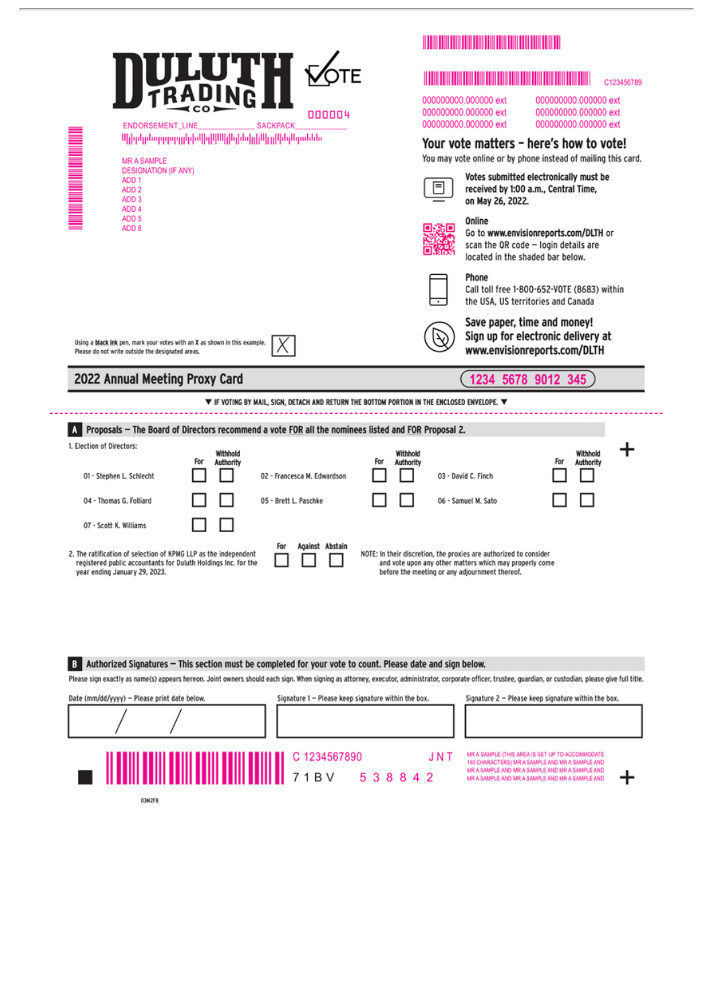| <b>ENDORSEMENT_LINE</b>                                                                                                                                            | 000004<br><b>SACKPACK</b>                                                                                    | 000000000.000000 ext<br>000000000.000000 ext<br>000000000.000000 ext<br>000000000.000000 ext<br>000000000.000000 ext<br>000000000.000000 ext                                                                 | C123456789 |
|--------------------------------------------------------------------------------------------------------------------------------------------------------------------|--------------------------------------------------------------------------------------------------------------|--------------------------------------------------------------------------------------------------------------------------------------------------------------------------------------------------------------|------------|
| <b>MR A SAMPLE</b>                                                                                                                                                 | ՍիիբերնաբրությրերիսկիզկՍՍիիերիսիրիկիզիկերներաննե                                                             | Your vote matters - here's how to vote!<br>You may vote online or by phone instead of mailing this card.                                                                                                     |            |
| <b>DESIGNATION (IF ANY)</b><br>ADD 1<br>ADD <sub>2</sub><br>ADD <sub>3</sub><br>ADD 4                                                                              |                                                                                                              | Votes submitted electronically must be<br>received by 1:00 a.m., Central Time,<br>on May 26, 2022.                                                                                                           |            |
| ADD <sub>5</sub><br>ADD 6                                                                                                                                          |                                                                                                              | Online<br>Go to www.envisionreports.com/DLTH or<br>scan the QR code - login details are<br>located in the shaded bar below.                                                                                  |            |
|                                                                                                                                                                    |                                                                                                              | Phone<br>Call toll free 1-800-652-VOTE (8683) within<br>the USA, US territories and Canada                                                                                                                   |            |
| Using a black ink pen, mark your votes with an X as shown in this example.<br>Please do not write outside the designated areas.                                    |                                                                                                              | Save paper, time and money!<br>Sign up for electronic delivery at<br>www.envisionreports.com/DLTH                                                                                                            |            |
| 2022 Annual Meeting Proxy Card                                                                                                                                     |                                                                                                              | 1234 5678 9012 345                                                                                                                                                                                           |            |
|                                                                                                                                                                    | $\blacktriangledown$ if voting by mail. Sign, detach and return the bottom portion in the enclosed envelope. |                                                                                                                                                                                                              |            |
| A                                                                                                                                                                  | Proposals - The Board of Directors recommend a vote FOR all the nominees listed and FOR Proposal 2.          |                                                                                                                                                                                                              |            |
| 1. Election of Directors:                                                                                                                                          | Withhold                                                                                                     | Withhold                                                                                                                                                                                                     | Withhold   |
| 01 - Stephen L. Schlecht<br>04 - Thomas G. Folliard                                                                                                                | For<br>Authority<br>02 - Francesca M. Edwardson<br>05 - Brett L. Paschke                                     | For<br><b>Authority</b><br>For<br>03 - David C. Finch<br>06 - Samuel M. Sato                                                                                                                                 | Authority  |
| 07 - Scott K. Williams                                                                                                                                             |                                                                                                              |                                                                                                                                                                                                              |            |
| 2. The ratification of selection of KPMG LLP as the independent<br>registered public accountants for Duluth Holdings Inc. for the<br>year ending January 29, 2023. | Against Abstain<br>For                                                                                       | NOTE: In their discretion, the proxies are authorized to consider<br>and vote upon any other matters which may properly come<br>before the meeting or any adjournment thereof.                               |            |
|                                                                                                                                                                    |                                                                                                              |                                                                                                                                                                                                              |            |
|                                                                                                                                                                    | B Authorized Signatures - This section must be completed for your vote to count. Please date and sign below. | Please sign exactly as name(s) appears hereon. Joint owners should each sign. When signing as attorney, executor, administrator, corporate officer, trustee, quardian, or custodian, please give full title. |            |